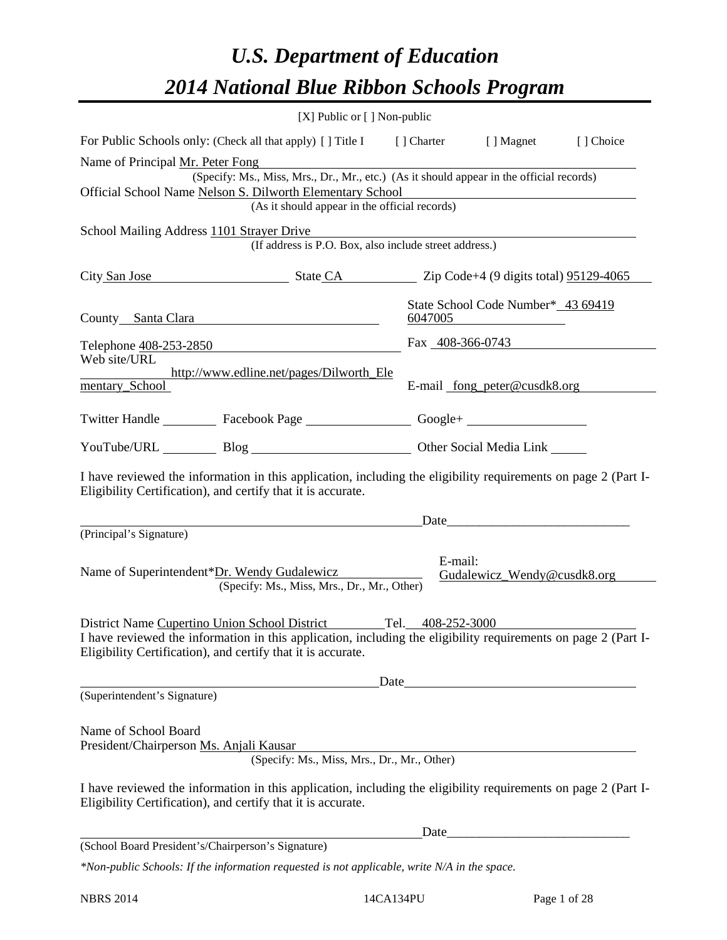# *U.S. Department of Education 2014 National Blue Ribbon Schools Program*

| [X] Public or [] Non-public                                                                                                                                                                                                                       |         |                                        |           |  |  |  |  |  |
|---------------------------------------------------------------------------------------------------------------------------------------------------------------------------------------------------------------------------------------------------|---------|----------------------------------------|-----------|--|--|--|--|--|
| For Public Schools only: (Check all that apply) [] Title I [] Charter [] Magnet                                                                                                                                                                   |         |                                        | [] Choice |  |  |  |  |  |
| Name of Principal Mr. Peter Fong<br>(Specify: Ms., Miss, Mrs., Dr., Mr., etc.) (As it should appear in the official records)<br>Official School Name Nelson S. Dilworth Elementary School<br>(As it should appear in the official records)        |         |                                        |           |  |  |  |  |  |
| School Mailing Address 1101 Strayer Drive<br>(If address is P.O. Box, also include street address.)                                                                                                                                               |         |                                        |           |  |  |  |  |  |
| City San Jose State CA State CA City San Jose 1991/29-4065                                                                                                                                                                                        |         |                                        |           |  |  |  |  |  |
| County Santa Clara                                                                                                                                                                                                                                | 6047005 | State School Code Number* 43 69419     |           |  |  |  |  |  |
| Telephone <u>408-253-2850</u>                                                                                                                                                                                                                     |         | Fax 408-366-0743                       |           |  |  |  |  |  |
| Web site/URL<br>http://www.edline.net/pages/Dilworth_Ele<br>mentary_School                                                                                                                                                                        |         | E-mail <u>fong peter@cusdk8.org</u>    |           |  |  |  |  |  |
| Twitter Handle ___________ Facebook Page ___________________ Google+ ____________                                                                                                                                                                 |         |                                        |           |  |  |  |  |  |
| YouTube/URL Blog Blog Diher Social Media Link                                                                                                                                                                                                     |         |                                        |           |  |  |  |  |  |
| I have reviewed the information in this application, including the eligibility requirements on page 2 (Part I-<br>Eligibility Certification), and certify that it is accurate.                                                                    |         |                                        |           |  |  |  |  |  |
| <u>Date</u> and the <b>Date</b> and the <b>Date</b> and the <b>Date</b>                                                                                                                                                                           |         |                                        |           |  |  |  |  |  |
| (Principal's Signature)                                                                                                                                                                                                                           |         |                                        |           |  |  |  |  |  |
| Name of Superintendent*Dr. Wendy Gudalewicz<br>(Specify: Ms., Miss, Mrs., Dr., Mr., Other)                                                                                                                                                        |         | E-mail:<br>Gudalewicz_Wendy@cusdk8.org |           |  |  |  |  |  |
| District Name Cupertino Union School District Tel. 408-252-3000<br>I have reviewed the information in this application, including the eligibility requirements on page 2 (Part I-<br>Eligibility Certification), and certify that it is accurate. |         |                                        |           |  |  |  |  |  |
|                                                                                                                                                                                                                                                   |         |                                        |           |  |  |  |  |  |
| (Superintendent's Signature)                                                                                                                                                                                                                      |         |                                        |           |  |  |  |  |  |
| Name of School Board<br>President/Chairperson Ms. Anjali Kausar<br>(Specify: Ms., Miss, Mrs., Dr., Mr., Other)                                                                                                                                    |         |                                        |           |  |  |  |  |  |
| I have reviewed the information in this application, including the eligibility requirements on page 2 (Part I-<br>Eligibility Certification), and certify that it is accurate.                                                                    |         |                                        |           |  |  |  |  |  |
|                                                                                                                                                                                                                                                   |         | Date                                   |           |  |  |  |  |  |
| (School Board President's/Chairperson's Signature)                                                                                                                                                                                                |         |                                        |           |  |  |  |  |  |

*\*Non-public Schools: If the information requested is not applicable, write N/A in the space.*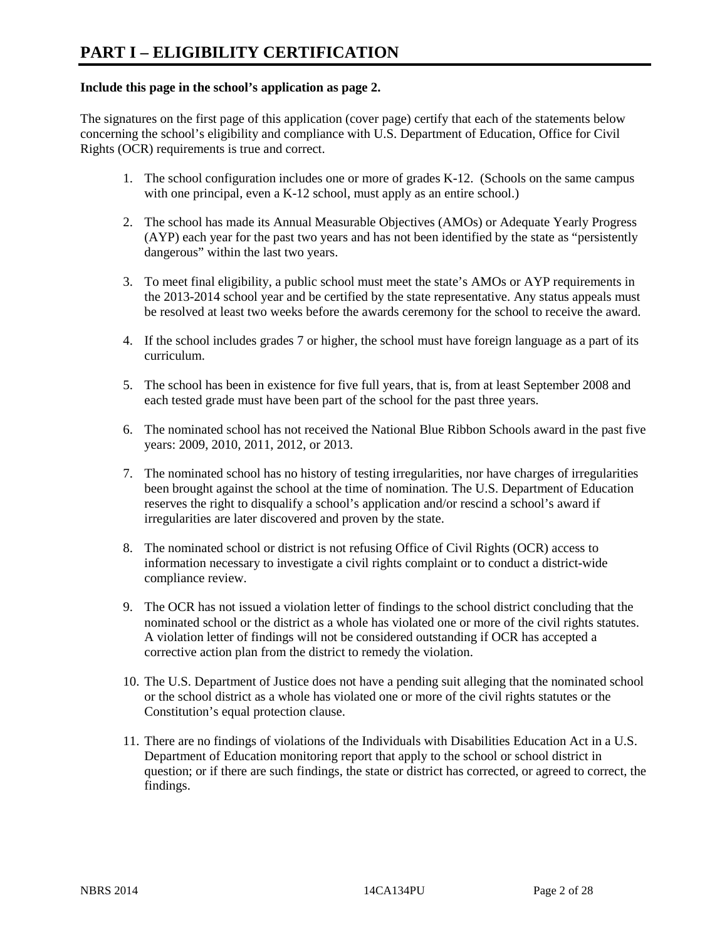#### **Include this page in the school's application as page 2.**

The signatures on the first page of this application (cover page) certify that each of the statements below concerning the school's eligibility and compliance with U.S. Department of Education, Office for Civil Rights (OCR) requirements is true and correct.

- 1. The school configuration includes one or more of grades K-12. (Schools on the same campus with one principal, even a K-12 school, must apply as an entire school.)
- 2. The school has made its Annual Measurable Objectives (AMOs) or Adequate Yearly Progress (AYP) each year for the past two years and has not been identified by the state as "persistently dangerous" within the last two years.
- 3. To meet final eligibility, a public school must meet the state's AMOs or AYP requirements in the 2013-2014 school year and be certified by the state representative. Any status appeals must be resolved at least two weeks before the awards ceremony for the school to receive the award.
- 4. If the school includes grades 7 or higher, the school must have foreign language as a part of its curriculum.
- 5. The school has been in existence for five full years, that is, from at least September 2008 and each tested grade must have been part of the school for the past three years.
- 6. The nominated school has not received the National Blue Ribbon Schools award in the past five years: 2009, 2010, 2011, 2012, or 2013.
- 7. The nominated school has no history of testing irregularities, nor have charges of irregularities been brought against the school at the time of nomination. The U.S. Department of Education reserves the right to disqualify a school's application and/or rescind a school's award if irregularities are later discovered and proven by the state.
- 8. The nominated school or district is not refusing Office of Civil Rights (OCR) access to information necessary to investigate a civil rights complaint or to conduct a district-wide compliance review.
- 9. The OCR has not issued a violation letter of findings to the school district concluding that the nominated school or the district as a whole has violated one or more of the civil rights statutes. A violation letter of findings will not be considered outstanding if OCR has accepted a corrective action plan from the district to remedy the violation.
- 10. The U.S. Department of Justice does not have a pending suit alleging that the nominated school or the school district as a whole has violated one or more of the civil rights statutes or the Constitution's equal protection clause.
- 11. There are no findings of violations of the Individuals with Disabilities Education Act in a U.S. Department of Education monitoring report that apply to the school or school district in question; or if there are such findings, the state or district has corrected, or agreed to correct, the findings.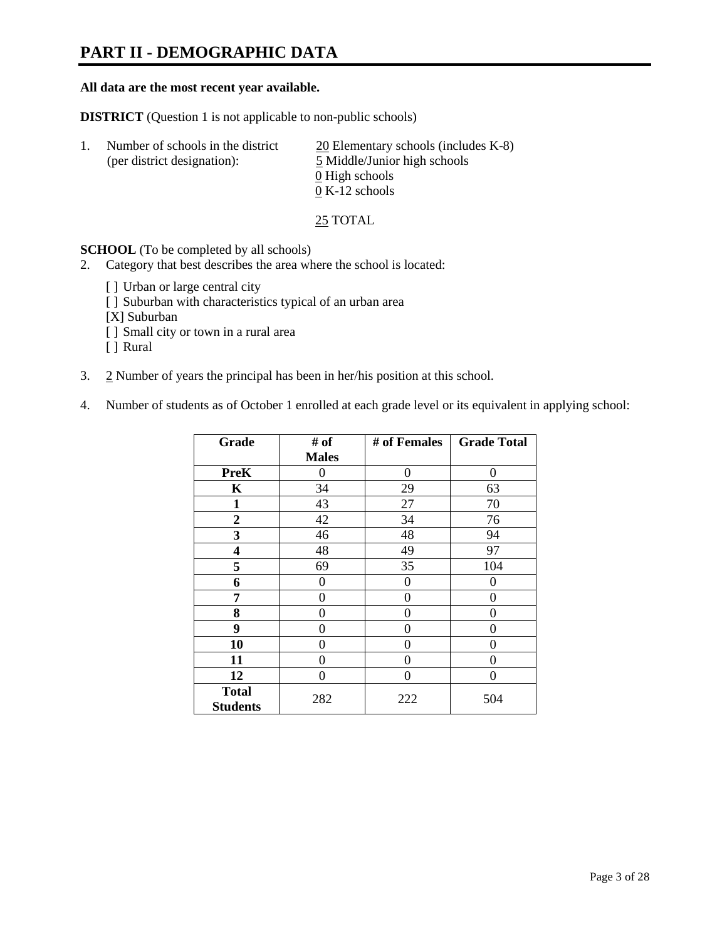# **PART II - DEMOGRAPHIC DATA**

#### **All data are the most recent year available.**

**DISTRICT** (Question 1 is not applicable to non-public schools)

| Number of schools in the district<br>(per district designation): | $20$ Elementary schools (includes K-8)<br>5 Middle/Junior high schools<br>0 High schools |
|------------------------------------------------------------------|------------------------------------------------------------------------------------------|
|                                                                  | $0 K-12$ schools                                                                         |

25 TOTAL

**SCHOOL** (To be completed by all schools)

- 2. Category that best describes the area where the school is located:
	- [] Urban or large central city
	- [ ] Suburban with characteristics typical of an urban area
	- [X] Suburban
	- [ ] Small city or town in a rural area
	- [ ] Rural
- 3. 2 Number of years the principal has been in her/his position at this school.
- 4. Number of students as of October 1 enrolled at each grade level or its equivalent in applying school:

| Grade                           | # of         | # of Females | <b>Grade Total</b> |
|---------------------------------|--------------|--------------|--------------------|
|                                 | <b>Males</b> |              |                    |
| <b>PreK</b>                     | 0            | $\theta$     | $\Omega$           |
| K                               | 34           | 29           | 63                 |
| $\mathbf{1}$                    | 43           | 27           | 70                 |
| $\boldsymbol{2}$                | 42           | 34           | 76                 |
| 3                               | 46           | 48           | 94                 |
| 4                               | 48           | 49           | 97                 |
| 5                               | 69           | 35           | 104                |
| 6                               | 0            | 0            | $\theta$           |
| 7                               | 0            | $\theta$     | 0                  |
| 8                               | 0            | 0            | 0                  |
| 9                               | 0            | 0            | 0                  |
| 10                              | 0            | $\Omega$     | 0                  |
| 11                              | 0            | 0            | 0                  |
| 12                              | 0            | $\Omega$     | 0                  |
| <b>Total</b><br><b>Students</b> | 282          | 222          | 504                |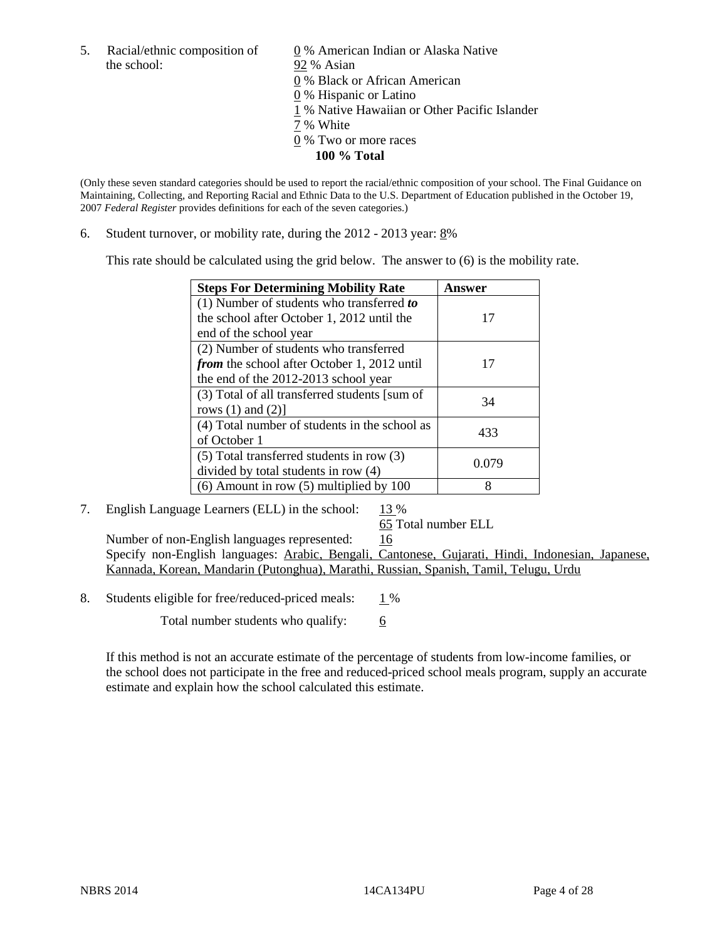the school: 92 % Asian

5. Racial/ethnic composition of  $\qquad \qquad \underline{0}$  % American Indian or Alaska Native 0 % Black or African American

- 0 % Hispanic or Latino
- 1 % Native Hawaiian or Other Pacific Islander
- 7 % White
- 0 % Two or more races
	- **100 % Total**

(Only these seven standard categories should be used to report the racial/ethnic composition of your school. The Final Guidance on Maintaining, Collecting, and Reporting Racial and Ethnic Data to the U.S. Department of Education published in the October 19, 2007 *Federal Register* provides definitions for each of the seven categories.)

6. Student turnover, or mobility rate, during the  $2012 - 2013$  year:  $8\%$ 

This rate should be calculated using the grid below. The answer to (6) is the mobility rate.

| <b>Steps For Determining Mobility Rate</b>         | Answer |
|----------------------------------------------------|--------|
| (1) Number of students who transferred to          |        |
| the school after October 1, 2012 until the         | 17     |
| end of the school year                             |        |
| (2) Number of students who transferred             |        |
| <i>from</i> the school after October 1, 2012 until | 17     |
| the end of the 2012-2013 school year               |        |
| (3) Total of all transferred students [sum of      | 34     |
| rows $(1)$ and $(2)$ ]                             |        |
| (4) Total number of students in the school as      | 433    |
| of October 1                                       |        |
| $(5)$ Total transferred students in row $(3)$      | 0.079  |
| divided by total students in row (4)               |        |
| $(6)$ Amount in row $(5)$ multiplied by 100        | 8      |

#### 7. English Language Learners (ELL) in the school:  $13\%$

65 Total number ELL

Number of non-English languages represented: 16 Specify non-English languages: Arabic, Bengali, Cantonese, Gujarati, Hindi, Indonesian, Japanese, Kannada, Korean, Mandarin (Putonghua), Marathi, Russian, Spanish, Tamil, Telugu, Urdu

8. Students eligible for free/reduced-priced meals:  $1\%$ 

Total number students who qualify:  $\frac{6}{6}$ 

If this method is not an accurate estimate of the percentage of students from low-income families, or the school does not participate in the free and reduced-priced school meals program, supply an accurate estimate and explain how the school calculated this estimate.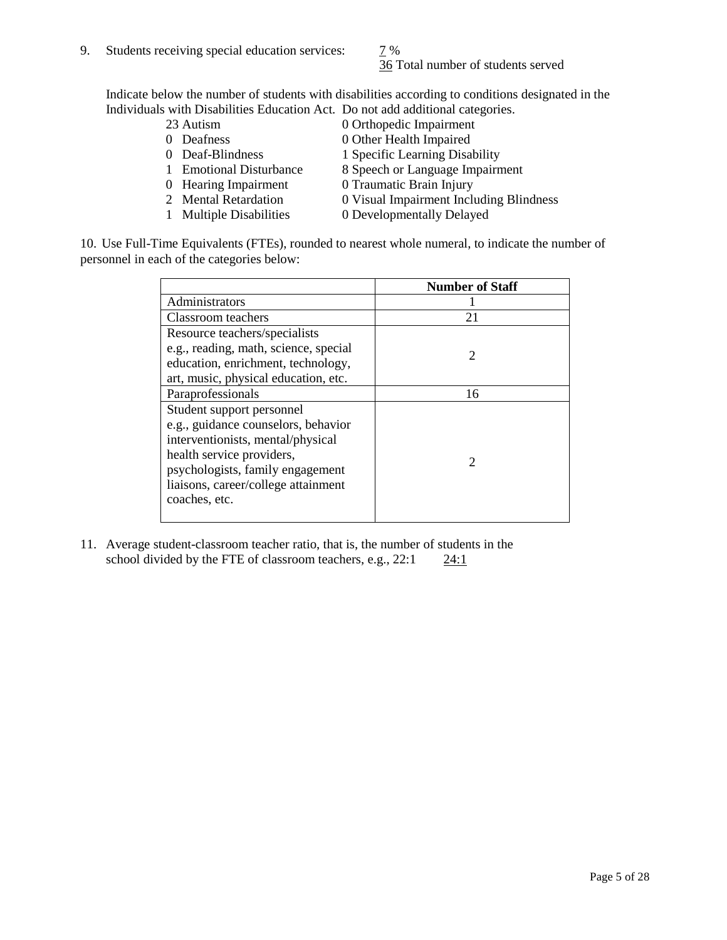# 36 Total number of students served

Indicate below the number of students with disabilities according to conditions designated in the Individuals with Disabilities Education Act. Do not add additional categories.

- 
- 
- 
- 
- 
- 
- 
- 23 Autism 0 Orthopedic Impairment<br>0 Deafness 0 Other Health Impaired 0 Other Health Impaired
- 0 Deaf-Blindness 1 Specific Learning Disability
- 1 Emotional Disturbance 8 Speech or Language Impairment
- 0 Hearing Impairment 0 Traumatic Brain Injury
- 2 Mental Retardation 0 Visual Impairment Including Blindness
- 1 Multiple Disabilities 0 Developmentally Delayed

10. Use Full-Time Equivalents (FTEs), rounded to nearest whole numeral, to indicate the number of personnel in each of the categories below:

|                                       | <b>Number of Staff</b> |
|---------------------------------------|------------------------|
| Administrators                        |                        |
| Classroom teachers                    | 21                     |
| Resource teachers/specialists         |                        |
| e.g., reading, math, science, special | 2                      |
| education, enrichment, technology,    |                        |
| art, music, physical education, etc.  |                        |
| Paraprofessionals                     | 16                     |
| Student support personnel             |                        |
| e.g., guidance counselors, behavior   |                        |
| interventionists, mental/physical     |                        |
| health service providers,             | $\mathfrak{D}$         |
| psychologists, family engagement      |                        |
| liaisons, career/college attainment   |                        |
| coaches, etc.                         |                        |
|                                       |                        |

11. Average student-classroom teacher ratio, that is, the number of students in the school divided by the FTE of classroom teachers, e.g.,  $22:1$   $24:1$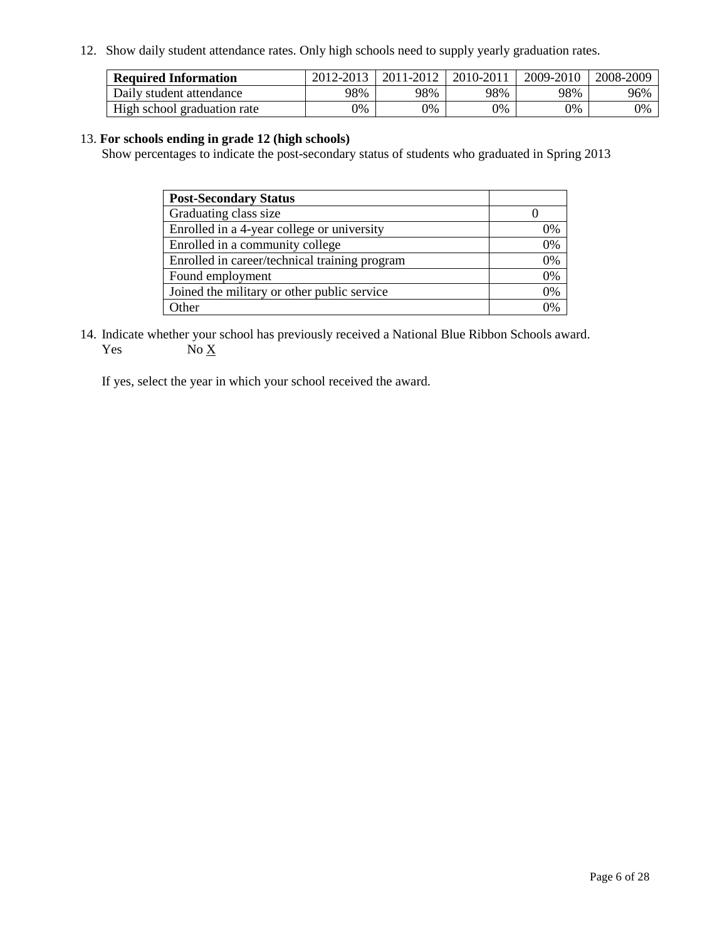12. Show daily student attendance rates. Only high schools need to supply yearly graduation rates.

| <b>Required Information</b> | 2012-2013 | 2011-2012 | 2010-2011 | 2009-2010 | 2008-2009 |
|-----------------------------|-----------|-----------|-----------|-----------|-----------|
| Daily student attendance    | 98%       | 98%       | 98%       | 98%       | 96%       |
| High school graduation rate | 0%        | 9%        | 0%        | 0%        | 0%        |

#### 13. **For schools ending in grade 12 (high schools)**

Show percentages to indicate the post-secondary status of students who graduated in Spring 2013

| <b>Post-Secondary Status</b>                  |    |
|-----------------------------------------------|----|
| Graduating class size                         |    |
| Enrolled in a 4-year college or university    | 0% |
| Enrolled in a community college               | 0% |
| Enrolled in career/technical training program | 0% |
| Found employment                              | 0% |
| Joined the military or other public service   | 0% |
| <b>Other</b>                                  | 2% |

14. Indicate whether your school has previously received a National Blue Ribbon Schools award. Yes  $No \underline{X}$ 

If yes, select the year in which your school received the award.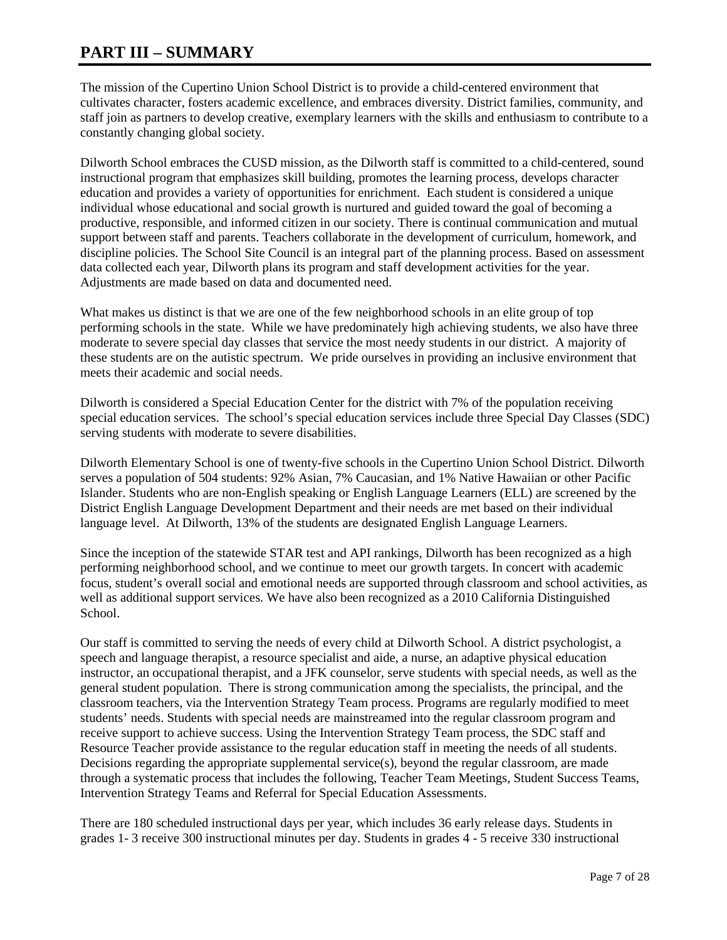# **PART III – SUMMARY**

The mission of the Cupertino Union School District is to provide a child-centered environment that cultivates character, fosters academic excellence, and embraces diversity. District families, community, and staff join as partners to develop creative, exemplary learners with the skills and enthusiasm to contribute to a constantly changing global society.

Dilworth School embraces the CUSD mission, as the Dilworth staff is committed to a child-centered, sound instructional program that emphasizes skill building, promotes the learning process, develops character education and provides a variety of opportunities for enrichment. Each student is considered a unique individual whose educational and social growth is nurtured and guided toward the goal of becoming a productive, responsible, and informed citizen in our society. There is continual communication and mutual support between staff and parents. Teachers collaborate in the development of curriculum, homework, and discipline policies. The School Site Council is an integral part of the planning process. Based on assessment data collected each year, Dilworth plans its program and staff development activities for the year. Adjustments are made based on data and documented need.

What makes us distinct is that we are one of the few neighborhood schools in an elite group of top performing schools in the state. While we have predominately high achieving students, we also have three moderate to severe special day classes that service the most needy students in our district. A majority of these students are on the autistic spectrum. We pride ourselves in providing an inclusive environment that meets their academic and social needs.

Dilworth is considered a Special Education Center for the district with 7% of the population receiving special education services. The school's special education services include three Special Day Classes (SDC) serving students with moderate to severe disabilities.

Dilworth Elementary School is one of twenty-five schools in the Cupertino Union School District. Dilworth serves a population of 504 students: 92% Asian, 7% Caucasian, and 1% Native Hawaiian or other Pacific Islander. Students who are non-English speaking or English Language Learners (ELL) are screened by the District English Language Development Department and their needs are met based on their individual language level. At Dilworth, 13% of the students are designated English Language Learners.

Since the inception of the statewide STAR test and API rankings, Dilworth has been recognized as a high performing neighborhood school, and we continue to meet our growth targets. In concert with academic focus, student's overall social and emotional needs are supported through classroom and school activities, as well as additional support services. We have also been recognized as a 2010 California Distinguished School.

Our staff is committed to serving the needs of every child at Dilworth School. A district psychologist, a speech and language therapist, a resource specialist and aide, a nurse, an adaptive physical education instructor, an occupational therapist, and a JFK counselor, serve students with special needs, as well as the general student population. There is strong communication among the specialists, the principal, and the classroom teachers, via the Intervention Strategy Team process. Programs are regularly modified to meet students' needs. Students with special needs are mainstreamed into the regular classroom program and receive support to achieve success. Using the Intervention Strategy Team process, the SDC staff and Resource Teacher provide assistance to the regular education staff in meeting the needs of all students. Decisions regarding the appropriate supplemental service(s), beyond the regular classroom, are made through a systematic process that includes the following, Teacher Team Meetings, Student Success Teams, Intervention Strategy Teams and Referral for Special Education Assessments.

There are 180 scheduled instructional days per year, which includes 36 early release days. Students in grades 1- 3 receive 300 instructional minutes per day. Students in grades 4 - 5 receive 330 instructional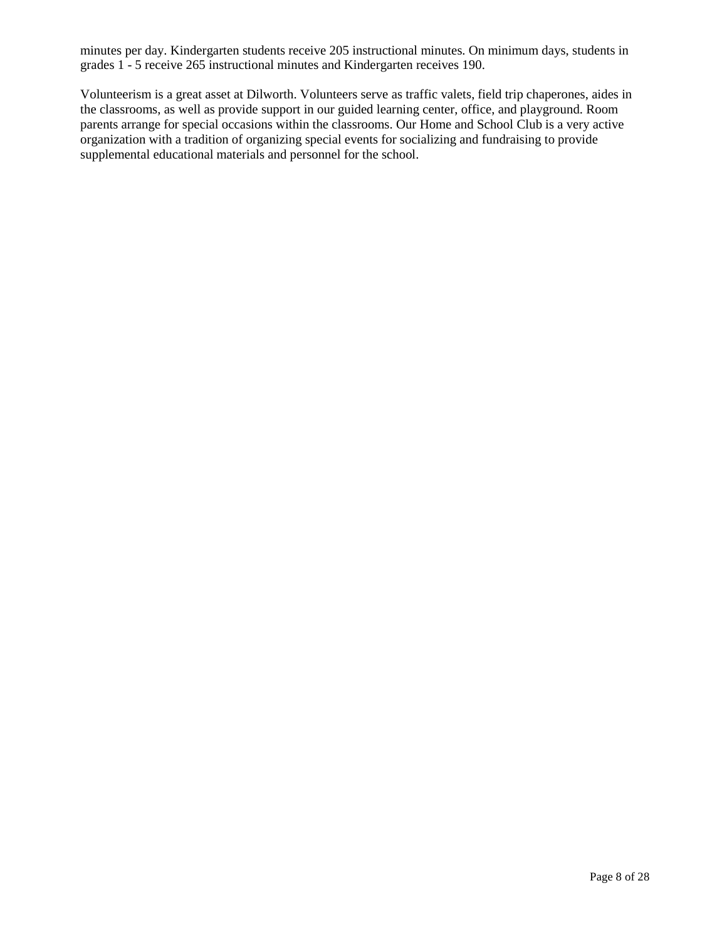minutes per day. Kindergarten students receive 205 instructional minutes. On minimum days, students in grades 1 - 5 receive 265 instructional minutes and Kindergarten receives 190.

Volunteerism is a great asset at Dilworth. Volunteers serve as traffic valets, field trip chaperones, aides in the classrooms, as well as provide support in our guided learning center, office, and playground. Room parents arrange for special occasions within the classrooms. Our Home and School Club is a very active organization with a tradition of organizing special events for socializing and fundraising to provide supplemental educational materials and personnel for the school.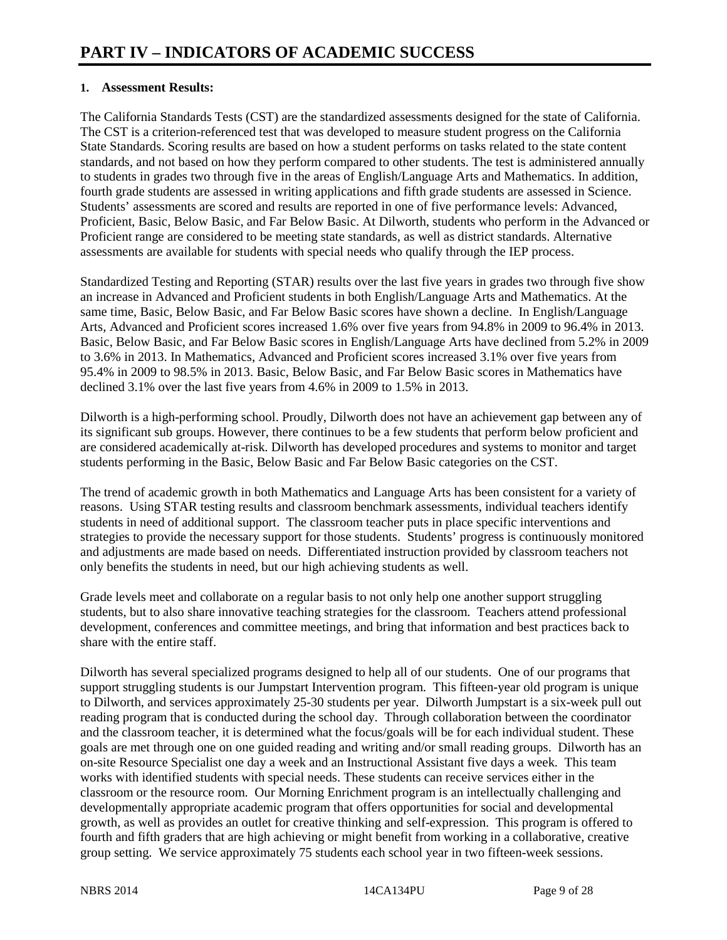#### **1. Assessment Results:**

The California Standards Tests (CST) are the standardized assessments designed for the state of California. The CST is a criterion-referenced test that was developed to measure student progress on the California State Standards. Scoring results are based on how a student performs on tasks related to the state content standards, and not based on how they perform compared to other students. The test is administered annually to students in grades two through five in the areas of English/Language Arts and Mathematics. In addition, fourth grade students are assessed in writing applications and fifth grade students are assessed in Science. Students' assessments are scored and results are reported in one of five performance levels: Advanced, Proficient, Basic, Below Basic, and Far Below Basic. At Dilworth, students who perform in the Advanced or Proficient range are considered to be meeting state standards, as well as district standards. Alternative assessments are available for students with special needs who qualify through the IEP process.

Standardized Testing and Reporting (STAR) results over the last five years in grades two through five show an increase in Advanced and Proficient students in both English/Language Arts and Mathematics. At the same time, Basic, Below Basic, and Far Below Basic scores have shown a decline. In English/Language Arts, Advanced and Proficient scores increased 1.6% over five years from 94.8% in 2009 to 96.4% in 2013. Basic, Below Basic, and Far Below Basic scores in English/Language Arts have declined from 5.2% in 2009 to 3.6% in 2013. In Mathematics, Advanced and Proficient scores increased 3.1% over five years from 95.4% in 2009 to 98.5% in 2013. Basic, Below Basic, and Far Below Basic scores in Mathematics have declined 3.1% over the last five years from 4.6% in 2009 to 1.5% in 2013.

Dilworth is a high-performing school. Proudly, Dilworth does not have an achievement gap between any of its significant sub groups. However, there continues to be a few students that perform below proficient and are considered academically at-risk. Dilworth has developed procedures and systems to monitor and target students performing in the Basic, Below Basic and Far Below Basic categories on the CST.

The trend of academic growth in both Mathematics and Language Arts has been consistent for a variety of reasons. Using STAR testing results and classroom benchmark assessments, individual teachers identify students in need of additional support. The classroom teacher puts in place specific interventions and strategies to provide the necessary support for those students. Students' progress is continuously monitored and adjustments are made based on needs. Differentiated instruction provided by classroom teachers not only benefits the students in need, but our high achieving students as well.

Grade levels meet and collaborate on a regular basis to not only help one another support struggling students, but to also share innovative teaching strategies for the classroom. Teachers attend professional development, conferences and committee meetings, and bring that information and best practices back to share with the entire staff.

Dilworth has several specialized programs designed to help all of our students. One of our programs that support struggling students is our Jumpstart Intervention program. This fifteen-year old program is unique to Dilworth, and services approximately 25-30 students per year. Dilworth Jumpstart is a six-week pull out reading program that is conducted during the school day. Through collaboration between the coordinator and the classroom teacher, it is determined what the focus/goals will be for each individual student. These goals are met through one on one guided reading and writing and/or small reading groups. Dilworth has an on-site Resource Specialist one day a week and an Instructional Assistant five days a week. This team works with identified students with special needs. These students can receive services either in the classroom or the resource room. Our Morning Enrichment program is an intellectually challenging and developmentally appropriate academic program that offers opportunities for social and developmental growth, as well as provides an outlet for creative thinking and self-expression. This program is offered to fourth and fifth graders that are high achieving or might benefit from working in a collaborative, creative group setting. We service approximately 75 students each school year in two fifteen-week sessions.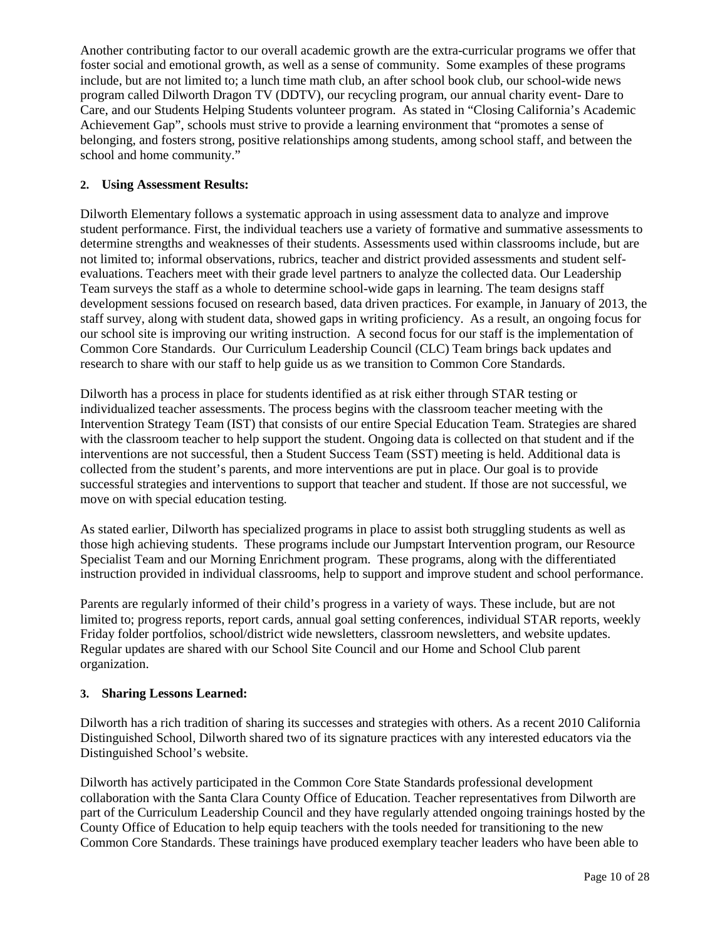Another contributing factor to our overall academic growth are the extra-curricular programs we offer that foster social and emotional growth, as well as a sense of community. Some examples of these programs include, but are not limited to; a lunch time math club, an after school book club, our school-wide news program called Dilworth Dragon TV (DDTV), our recycling program, our annual charity event- Dare to Care, and our Students Helping Students volunteer program. As stated in "Closing California's Academic Achievement Gap", schools must strive to provide a learning environment that "promotes a sense of belonging, and fosters strong, positive relationships among students, among school staff, and between the school and home community."

#### **2. Using Assessment Results:**

Dilworth Elementary follows a systematic approach in using assessment data to analyze and improve student performance. First, the individual teachers use a variety of formative and summative assessments to determine strengths and weaknesses of their students. Assessments used within classrooms include, but are not limited to; informal observations, rubrics, teacher and district provided assessments and student selfevaluations. Teachers meet with their grade level partners to analyze the collected data. Our Leadership Team surveys the staff as a whole to determine school-wide gaps in learning. The team designs staff development sessions focused on research based, data driven practices. For example, in January of 2013, the staff survey, along with student data, showed gaps in writing proficiency. As a result, an ongoing focus for our school site is improving our writing instruction. A second focus for our staff is the implementation of Common Core Standards. Our Curriculum Leadership Council (CLC) Team brings back updates and research to share with our staff to help guide us as we transition to Common Core Standards.

Dilworth has a process in place for students identified as at risk either through STAR testing or individualized teacher assessments. The process begins with the classroom teacher meeting with the Intervention Strategy Team (IST) that consists of our entire Special Education Team. Strategies are shared with the classroom teacher to help support the student. Ongoing data is collected on that student and if the interventions are not successful, then a Student Success Team (SST) meeting is held. Additional data is collected from the student's parents, and more interventions are put in place. Our goal is to provide successful strategies and interventions to support that teacher and student. If those are not successful, we move on with special education testing.

As stated earlier, Dilworth has specialized programs in place to assist both struggling students as well as those high achieving students. These programs include our Jumpstart Intervention program, our Resource Specialist Team and our Morning Enrichment program. These programs, along with the differentiated instruction provided in individual classrooms, help to support and improve student and school performance.

Parents are regularly informed of their child's progress in a variety of ways. These include, but are not limited to; progress reports, report cards, annual goal setting conferences, individual STAR reports, weekly Friday folder portfolios, school/district wide newsletters, classroom newsletters, and website updates. Regular updates are shared with our School Site Council and our Home and School Club parent organization.

### **3. Sharing Lessons Learned:**

Dilworth has a rich tradition of sharing its successes and strategies with others. As a recent 2010 California Distinguished School, Dilworth shared two of its signature practices with any interested educators via the Distinguished School's website.

Dilworth has actively participated in the Common Core State Standards professional development collaboration with the Santa Clara County Office of Education. Teacher representatives from Dilworth are part of the Curriculum Leadership Council and they have regularly attended ongoing trainings hosted by the County Office of Education to help equip teachers with the tools needed for transitioning to the new Common Core Standards. These trainings have produced exemplary teacher leaders who have been able to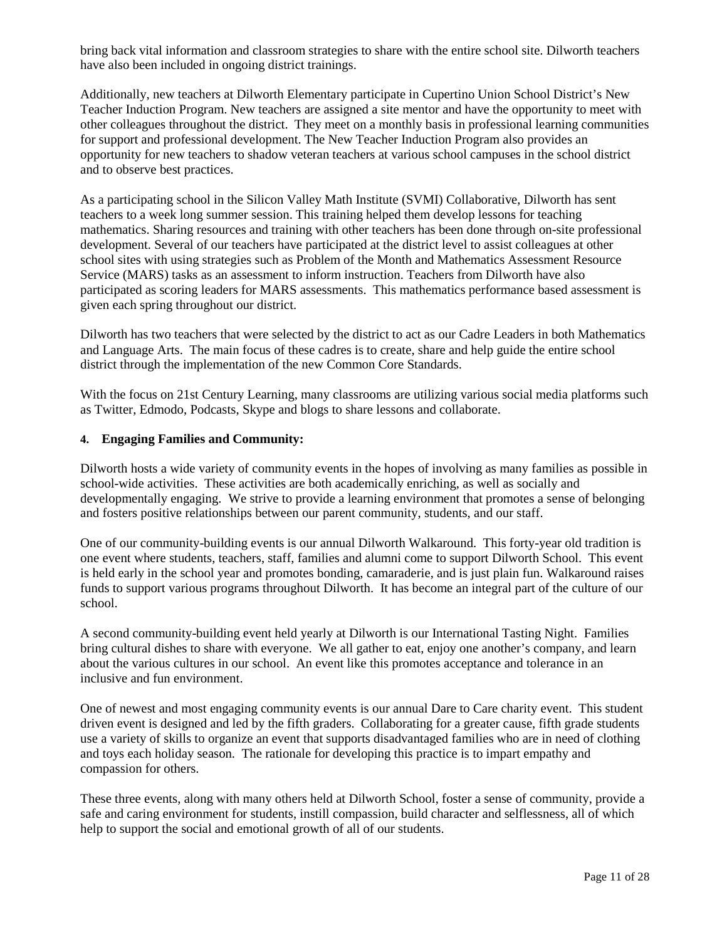bring back vital information and classroom strategies to share with the entire school site. Dilworth teachers have also been included in ongoing district trainings.

Additionally, new teachers at Dilworth Elementary participate in Cupertino Union School District's New Teacher Induction Program. New teachers are assigned a site mentor and have the opportunity to meet with other colleagues throughout the district. They meet on a monthly basis in professional learning communities for support and professional development. The New Teacher Induction Program also provides an opportunity for new teachers to shadow veteran teachers at various school campuses in the school district and to observe best practices.

As a participating school in the Silicon Valley Math Institute (SVMI) Collaborative, Dilworth has sent teachers to a week long summer session. This training helped them develop lessons for teaching mathematics. Sharing resources and training with other teachers has been done through on-site professional development. Several of our teachers have participated at the district level to assist colleagues at other school sites with using strategies such as Problem of the Month and Mathematics Assessment Resource Service (MARS) tasks as an assessment to inform instruction. Teachers from Dilworth have also participated as scoring leaders for MARS assessments. This mathematics performance based assessment is given each spring throughout our district.

Dilworth has two teachers that were selected by the district to act as our Cadre Leaders in both Mathematics and Language Arts. The main focus of these cadres is to create, share and help guide the entire school district through the implementation of the new Common Core Standards.

With the focus on 21st Century Learning, many classrooms are utilizing various social media platforms such as Twitter, Edmodo, Podcasts, Skype and blogs to share lessons and collaborate.

#### **4. Engaging Families and Community:**

Dilworth hosts a wide variety of community events in the hopes of involving as many families as possible in school-wide activities. These activities are both academically enriching, as well as socially and developmentally engaging. We strive to provide a learning environment that promotes a sense of belonging and fosters positive relationships between our parent community, students, and our staff.

One of our community-building events is our annual Dilworth Walkaround. This forty-year old tradition is one event where students, teachers, staff, families and alumni come to support Dilworth School. This event is held early in the school year and promotes bonding, camaraderie, and is just plain fun. Walkaround raises funds to support various programs throughout Dilworth. It has become an integral part of the culture of our school.

A second community-building event held yearly at Dilworth is our International Tasting Night. Families bring cultural dishes to share with everyone. We all gather to eat, enjoy one another's company, and learn about the various cultures in our school. An event like this promotes acceptance and tolerance in an inclusive and fun environment.

One of newest and most engaging community events is our annual Dare to Care charity event. This student driven event is designed and led by the fifth graders. Collaborating for a greater cause, fifth grade students use a variety of skills to organize an event that supports disadvantaged families who are in need of clothing and toys each holiday season. The rationale for developing this practice is to impart empathy and compassion for others.

These three events, along with many others held at Dilworth School, foster a sense of community, provide a safe and caring environment for students, instill compassion, build character and selflessness, all of which help to support the social and emotional growth of all of our students.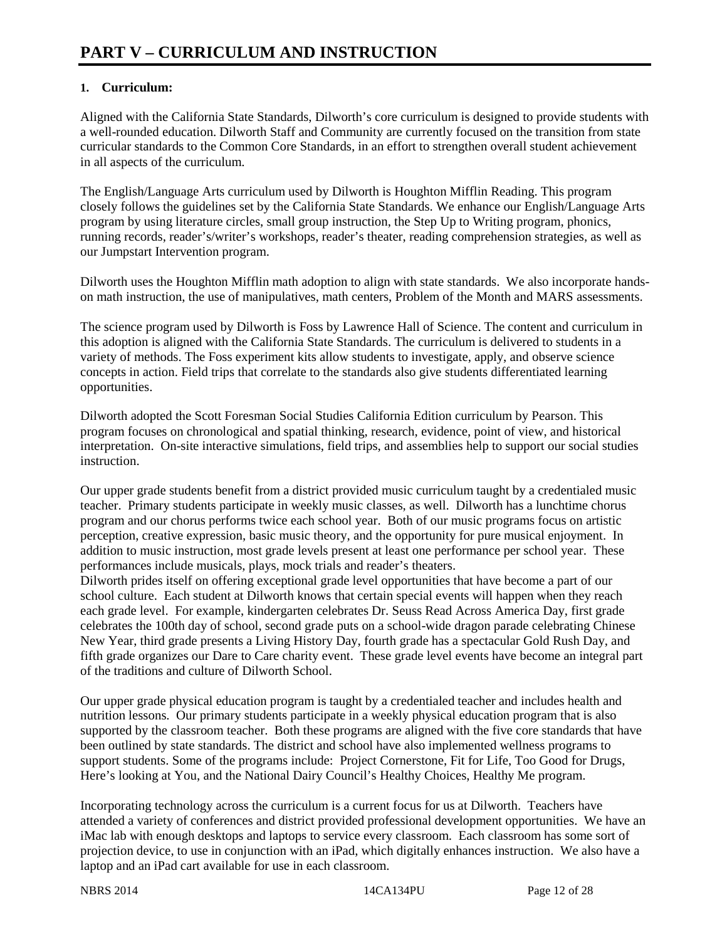## **1. Curriculum:**

Aligned with the California State Standards, Dilworth's core curriculum is designed to provide students with a well-rounded education. Dilworth Staff and Community are currently focused on the transition from state curricular standards to the Common Core Standards, in an effort to strengthen overall student achievement in all aspects of the curriculum.

The English/Language Arts curriculum used by Dilworth is Houghton Mifflin Reading. This program closely follows the guidelines set by the California State Standards. We enhance our English/Language Arts program by using literature circles, small group instruction, the Step Up to Writing program, phonics, running records, reader's/writer's workshops, reader's theater, reading comprehension strategies, as well as our Jumpstart Intervention program.

Dilworth uses the Houghton Mifflin math adoption to align with state standards. We also incorporate handson math instruction, the use of manipulatives, math centers, Problem of the Month and MARS assessments.

The science program used by Dilworth is Foss by Lawrence Hall of Science. The content and curriculum in this adoption is aligned with the California State Standards. The curriculum is delivered to students in a variety of methods. The Foss experiment kits allow students to investigate, apply, and observe science concepts in action. Field trips that correlate to the standards also give students differentiated learning opportunities.

Dilworth adopted the Scott Foresman Social Studies California Edition curriculum by Pearson. This program focuses on chronological and spatial thinking, research, evidence, point of view, and historical interpretation. On-site interactive simulations, field trips, and assemblies help to support our social studies instruction.

Our upper grade students benefit from a district provided music curriculum taught by a credentialed music teacher. Primary students participate in weekly music classes, as well. Dilworth has a lunchtime chorus program and our chorus performs twice each school year. Both of our music programs focus on artistic perception, creative expression, basic music theory, and the opportunity for pure musical enjoyment. In addition to music instruction, most grade levels present at least one performance per school year. These performances include musicals, plays, mock trials and reader's theaters.

Dilworth prides itself on offering exceptional grade level opportunities that have become a part of our school culture. Each student at Dilworth knows that certain special events will happen when they reach each grade level. For example, kindergarten celebrates Dr. Seuss Read Across America Day, first grade celebrates the 100th day of school, second grade puts on a school-wide dragon parade celebrating Chinese New Year, third grade presents a Living History Day, fourth grade has a spectacular Gold Rush Day, and fifth grade organizes our Dare to Care charity event. These grade level events have become an integral part of the traditions and culture of Dilworth School.

Our upper grade physical education program is taught by a credentialed teacher and includes health and nutrition lessons. Our primary students participate in a weekly physical education program that is also supported by the classroom teacher. Both these programs are aligned with the five core standards that have been outlined by state standards. The district and school have also implemented wellness programs to support students. Some of the programs include: Project Cornerstone, Fit for Life, Too Good for Drugs, Here's looking at You, and the National Dairy Council's Healthy Choices, Healthy Me program.

Incorporating technology across the curriculum is a current focus for us at Dilworth. Teachers have attended a variety of conferences and district provided professional development opportunities. We have an iMac lab with enough desktops and laptops to service every classroom. Each classroom has some sort of projection device, to use in conjunction with an iPad, which digitally enhances instruction. We also have a laptop and an iPad cart available for use in each classroom.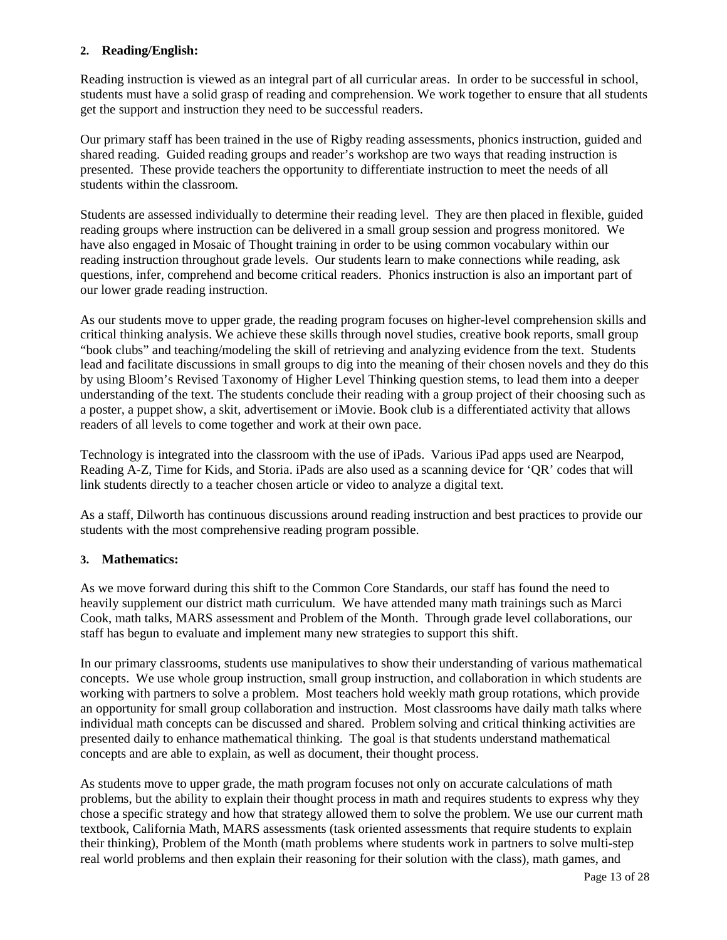#### **2. Reading/English:**

Reading instruction is viewed as an integral part of all curricular areas. In order to be successful in school, students must have a solid grasp of reading and comprehension. We work together to ensure that all students get the support and instruction they need to be successful readers.

Our primary staff has been trained in the use of Rigby reading assessments, phonics instruction, guided and shared reading. Guided reading groups and reader's workshop are two ways that reading instruction is presented. These provide teachers the opportunity to differentiate instruction to meet the needs of all students within the classroom.

Students are assessed individually to determine their reading level. They are then placed in flexible, guided reading groups where instruction can be delivered in a small group session and progress monitored. We have also engaged in Mosaic of Thought training in order to be using common vocabulary within our reading instruction throughout grade levels. Our students learn to make connections while reading, ask questions, infer, comprehend and become critical readers. Phonics instruction is also an important part of our lower grade reading instruction.

As our students move to upper grade, the reading program focuses on higher-level comprehension skills and critical thinking analysis. We achieve these skills through novel studies, creative book reports, small group "book clubs" and teaching/modeling the skill of retrieving and analyzing evidence from the text. Students lead and facilitate discussions in small groups to dig into the meaning of their chosen novels and they do this by using Bloom's Revised Taxonomy of Higher Level Thinking question stems, to lead them into a deeper understanding of the text. The students conclude their reading with a group project of their choosing such as a poster, a puppet show, a skit, advertisement or iMovie. Book club is a differentiated activity that allows readers of all levels to come together and work at their own pace.

Technology is integrated into the classroom with the use of iPads. Various iPad apps used are Nearpod, Reading A-Z, Time for Kids, and Storia. iPads are also used as a scanning device for 'QR' codes that will link students directly to a teacher chosen article or video to analyze a digital text.

As a staff, Dilworth has continuous discussions around reading instruction and best practices to provide our students with the most comprehensive reading program possible.

### **3. Mathematics:**

As we move forward during this shift to the Common Core Standards, our staff has found the need to heavily supplement our district math curriculum. We have attended many math trainings such as Marci Cook, math talks, MARS assessment and Problem of the Month. Through grade level collaborations, our staff has begun to evaluate and implement many new strategies to support this shift.

In our primary classrooms, students use manipulatives to show their understanding of various mathematical concepts. We use whole group instruction, small group instruction, and collaboration in which students are working with partners to solve a problem. Most teachers hold weekly math group rotations, which provide an opportunity for small group collaboration and instruction. Most classrooms have daily math talks where individual math concepts can be discussed and shared. Problem solving and critical thinking activities are presented daily to enhance mathematical thinking. The goal is that students understand mathematical concepts and are able to explain, as well as document, their thought process.

As students move to upper grade, the math program focuses not only on accurate calculations of math problems, but the ability to explain their thought process in math and requires students to express why they chose a specific strategy and how that strategy allowed them to solve the problem. We use our current math textbook, California Math, MARS assessments (task oriented assessments that require students to explain their thinking), Problem of the Month (math problems where students work in partners to solve multi-step real world problems and then explain their reasoning for their solution with the class), math games, and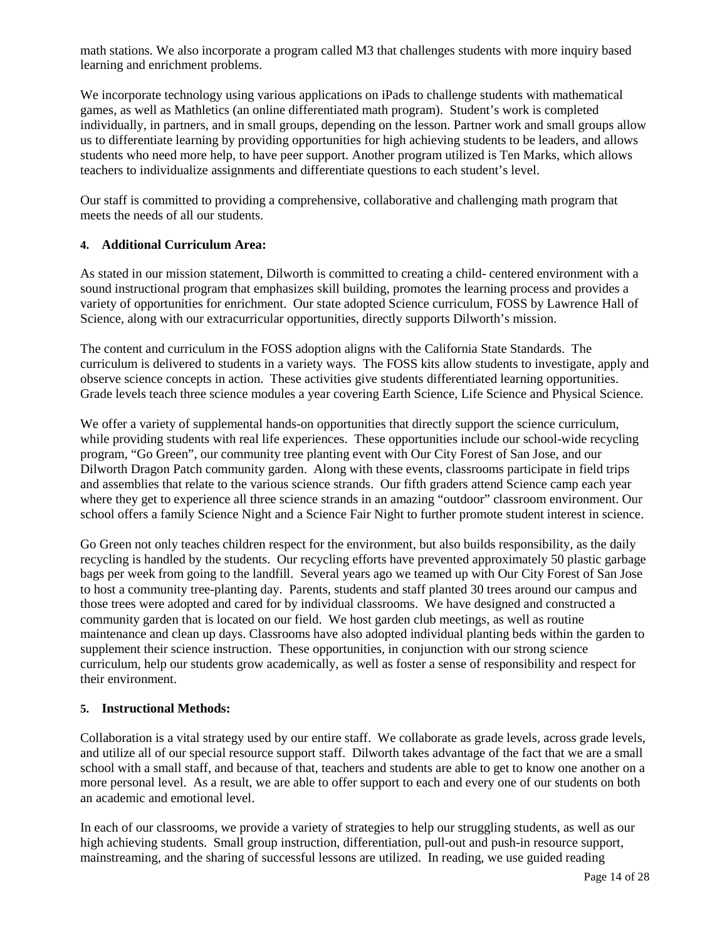math stations. We also incorporate a program called M3 that challenges students with more inquiry based learning and enrichment problems.

We incorporate technology using various applications on iPads to challenge students with mathematical games, as well as Mathletics (an online differentiated math program). Student's work is completed individually, in partners, and in small groups, depending on the lesson. Partner work and small groups allow us to differentiate learning by providing opportunities for high achieving students to be leaders, and allows students who need more help, to have peer support. Another program utilized is Ten Marks, which allows teachers to individualize assignments and differentiate questions to each student's level.

Our staff is committed to providing a comprehensive, collaborative and challenging math program that meets the needs of all our students.

#### **4. Additional Curriculum Area:**

As stated in our mission statement, Dilworth is committed to creating a child- centered environment with a sound instructional program that emphasizes skill building, promotes the learning process and provides a variety of opportunities for enrichment. Our state adopted Science curriculum, FOSS by Lawrence Hall of Science, along with our extracurricular opportunities, directly supports Dilworth's mission.

The content and curriculum in the FOSS adoption aligns with the California State Standards. The curriculum is delivered to students in a variety ways. The FOSS kits allow students to investigate, apply and observe science concepts in action. These activities give students differentiated learning opportunities. Grade levels teach three science modules a year covering Earth Science, Life Science and Physical Science.

We offer a variety of supplemental hands-on opportunities that directly support the science curriculum, while providing students with real life experiences. These opportunities include our school-wide recycling program, "Go Green", our community tree planting event with Our City Forest of San Jose, and our Dilworth Dragon Patch community garden. Along with these events, classrooms participate in field trips and assemblies that relate to the various science strands. Our fifth graders attend Science camp each year where they get to experience all three science strands in an amazing "outdoor" classroom environment. Our school offers a family Science Night and a Science Fair Night to further promote student interest in science.

Go Green not only teaches children respect for the environment, but also builds responsibility, as the daily recycling is handled by the students. Our recycling efforts have prevented approximately 50 plastic garbage bags per week from going to the landfill. Several years ago we teamed up with Our City Forest of San Jose to host a community tree-planting day. Parents, students and staff planted 30 trees around our campus and those trees were adopted and cared for by individual classrooms. We have designed and constructed a community garden that is located on our field. We host garden club meetings, as well as routine maintenance and clean up days. Classrooms have also adopted individual planting beds within the garden to supplement their science instruction. These opportunities, in conjunction with our strong science curriculum, help our students grow academically, as well as foster a sense of responsibility and respect for their environment.

#### **5. Instructional Methods:**

Collaboration is a vital strategy used by our entire staff. We collaborate as grade levels, across grade levels, and utilize all of our special resource support staff. Dilworth takes advantage of the fact that we are a small school with a small staff, and because of that, teachers and students are able to get to know one another on a more personal level. As a result, we are able to offer support to each and every one of our students on both an academic and emotional level.

In each of our classrooms, we provide a variety of strategies to help our struggling students, as well as our high achieving students. Small group instruction, differentiation, pull-out and push-in resource support, mainstreaming, and the sharing of successful lessons are utilized. In reading, we use guided reading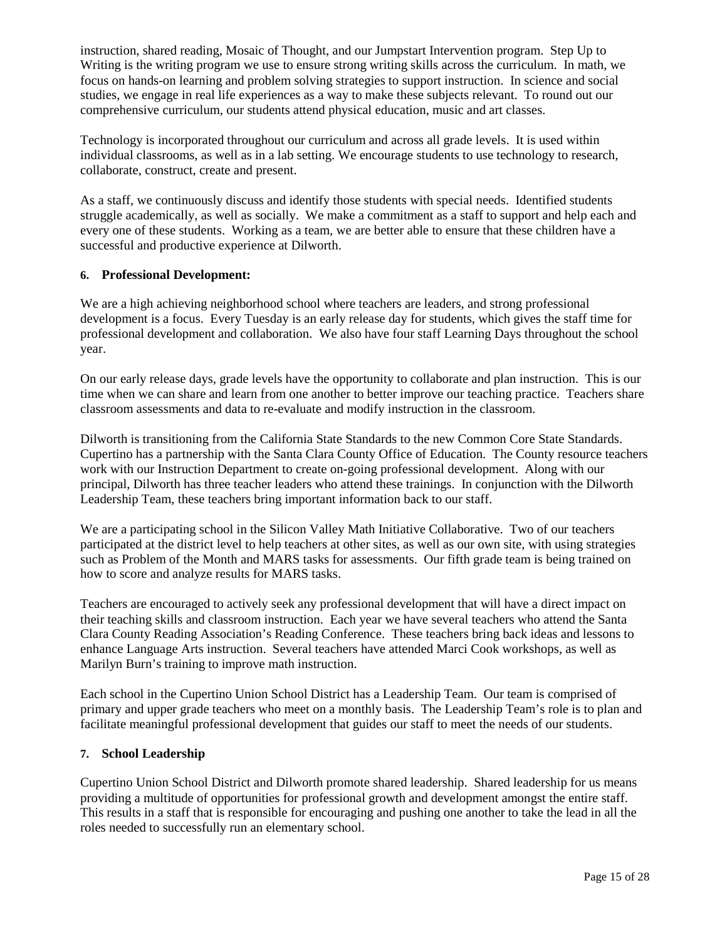instruction, shared reading, Mosaic of Thought, and our Jumpstart Intervention program. Step Up to Writing is the writing program we use to ensure strong writing skills across the curriculum. In math, we focus on hands-on learning and problem solving strategies to support instruction. In science and social studies, we engage in real life experiences as a way to make these subjects relevant. To round out our comprehensive curriculum, our students attend physical education, music and art classes.

Technology is incorporated throughout our curriculum and across all grade levels. It is used within individual classrooms, as well as in a lab setting. We encourage students to use technology to research, collaborate, construct, create and present.

As a staff, we continuously discuss and identify those students with special needs. Identified students struggle academically, as well as socially. We make a commitment as a staff to support and help each and every one of these students. Working as a team, we are better able to ensure that these children have a successful and productive experience at Dilworth.

#### **6. Professional Development:**

We are a high achieving neighborhood school where teachers are leaders, and strong professional development is a focus. Every Tuesday is an early release day for students, which gives the staff time for professional development and collaboration. We also have four staff Learning Days throughout the school year.

On our early release days, grade levels have the opportunity to collaborate and plan instruction. This is our time when we can share and learn from one another to better improve our teaching practice. Teachers share classroom assessments and data to re-evaluate and modify instruction in the classroom.

Dilworth is transitioning from the California State Standards to the new Common Core State Standards. Cupertino has a partnership with the Santa Clara County Office of Education. The County resource teachers work with our Instruction Department to create on-going professional development. Along with our principal, Dilworth has three teacher leaders who attend these trainings. In conjunction with the Dilworth Leadership Team, these teachers bring important information back to our staff.

We are a participating school in the Silicon Valley Math Initiative Collaborative. Two of our teachers participated at the district level to help teachers at other sites, as well as our own site, with using strategies such as Problem of the Month and MARS tasks for assessments. Our fifth grade team is being trained on how to score and analyze results for MARS tasks.

Teachers are encouraged to actively seek any professional development that will have a direct impact on their teaching skills and classroom instruction. Each year we have several teachers who attend the Santa Clara County Reading Association's Reading Conference. These teachers bring back ideas and lessons to enhance Language Arts instruction. Several teachers have attended Marci Cook workshops, as well as Marilyn Burn's training to improve math instruction.

Each school in the Cupertino Union School District has a Leadership Team. Our team is comprised of primary and upper grade teachers who meet on a monthly basis. The Leadership Team's role is to plan and facilitate meaningful professional development that guides our staff to meet the needs of our students.

#### **7. School Leadership**

Cupertino Union School District and Dilworth promote shared leadership. Shared leadership for us means providing a multitude of opportunities for professional growth and development amongst the entire staff. This results in a staff that is responsible for encouraging and pushing one another to take the lead in all the roles needed to successfully run an elementary school.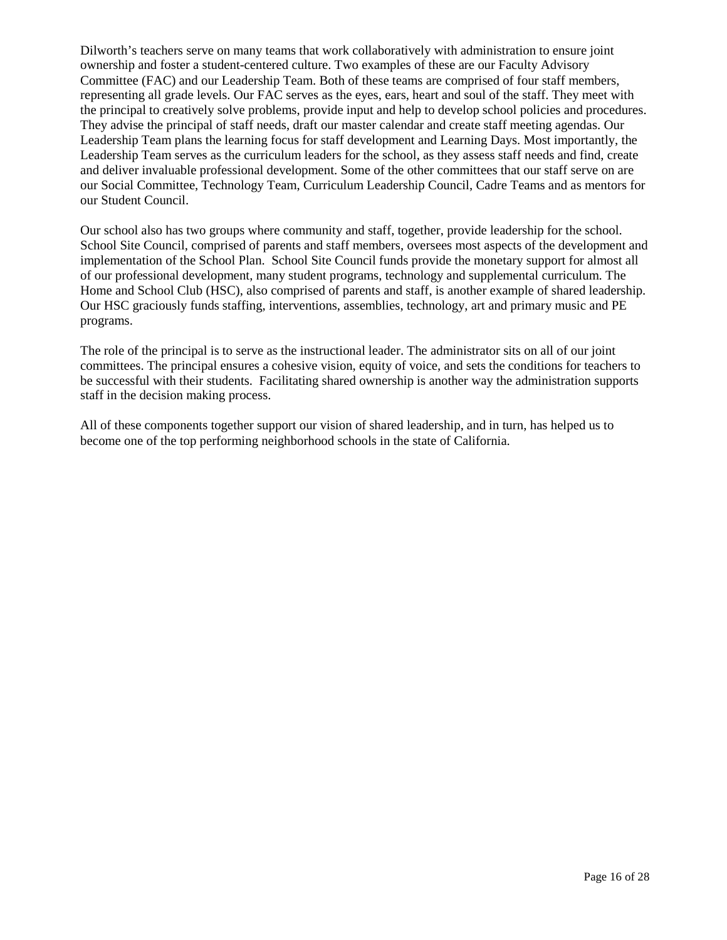Dilworth's teachers serve on many teams that work collaboratively with administration to ensure joint ownership and foster a student-centered culture. Two examples of these are our Faculty Advisory Committee (FAC) and our Leadership Team. Both of these teams are comprised of four staff members, representing all grade levels. Our FAC serves as the eyes, ears, heart and soul of the staff. They meet with the principal to creatively solve problems, provide input and help to develop school policies and procedures. They advise the principal of staff needs, draft our master calendar and create staff meeting agendas. Our Leadership Team plans the learning focus for staff development and Learning Days. Most importantly, the Leadership Team serves as the curriculum leaders for the school, as they assess staff needs and find, create and deliver invaluable professional development. Some of the other committees that our staff serve on are our Social Committee, Technology Team, Curriculum Leadership Council, Cadre Teams and as mentors for our Student Council.

Our school also has two groups where community and staff, together, provide leadership for the school. School Site Council, comprised of parents and staff members, oversees most aspects of the development and implementation of the School Plan. School Site Council funds provide the monetary support for almost all of our professional development, many student programs, technology and supplemental curriculum. The Home and School Club (HSC), also comprised of parents and staff, is another example of shared leadership. Our HSC graciously funds staffing, interventions, assemblies, technology, art and primary music and PE programs.

The role of the principal is to serve as the instructional leader. The administrator sits on all of our joint committees. The principal ensures a cohesive vision, equity of voice, and sets the conditions for teachers to be successful with their students. Facilitating shared ownership is another way the administration supports staff in the decision making process.

All of these components together support our vision of shared leadership, and in turn, has helped us to become one of the top performing neighborhood schools in the state of California.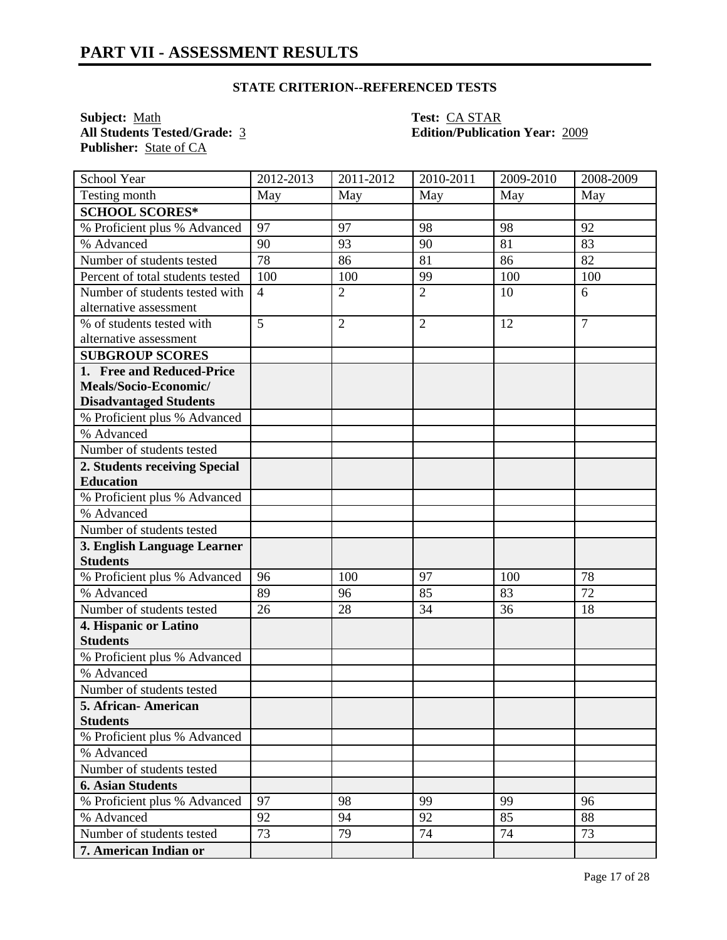**Subject:** <u>Math</u> **Test:** <u>CA STAR</u><br> **All Students Tested/Grade:** 3 **CA STAR**<br> **Edition/Publication** Publisher: State of CA

**All Students Tested/Grade:** 3 **Edition/Publication Year:** 2009

| School Year                      | 2012-2013      | 2011-2012      | 2010-2011      | 2009-2010 | 2008-2009      |
|----------------------------------|----------------|----------------|----------------|-----------|----------------|
| Testing month                    | May            | May            | May            | May       | May            |
| <b>SCHOOL SCORES*</b>            |                |                |                |           |                |
| % Proficient plus % Advanced     | 97             | 97             | 98             | 98        | 92             |
| % Advanced                       | 90             | 93             | 90             | 81        | 83             |
| Number of students tested        | 78             | 86             | 81             | 86        | 82             |
| Percent of total students tested | 100            | 100            | 99             | 100       | 100            |
| Number of students tested with   | $\overline{4}$ | $\overline{2}$ | $\overline{2}$ | 10        | 6              |
| alternative assessment           |                |                |                |           |                |
| % of students tested with        | 5              | $\overline{2}$ | $\overline{2}$ | 12        | $\overline{7}$ |
| alternative assessment           |                |                |                |           |                |
| <b>SUBGROUP SCORES</b>           |                |                |                |           |                |
| 1. Free and Reduced-Price        |                |                |                |           |                |
| Meals/Socio-Economic/            |                |                |                |           |                |
| <b>Disadvantaged Students</b>    |                |                |                |           |                |
| % Proficient plus % Advanced     |                |                |                |           |                |
| % Advanced                       |                |                |                |           |                |
| Number of students tested        |                |                |                |           |                |
| 2. Students receiving Special    |                |                |                |           |                |
| <b>Education</b>                 |                |                |                |           |                |
| % Proficient plus % Advanced     |                |                |                |           |                |
| % Advanced                       |                |                |                |           |                |
| Number of students tested        |                |                |                |           |                |
| 3. English Language Learner      |                |                |                |           |                |
| <b>Students</b>                  |                |                |                |           |                |
| % Proficient plus % Advanced     | 96             | 100            | 97             | 100       | 78             |
| % Advanced                       | 89             | 96             | 85             | 83        | 72             |
| Number of students tested        | 26             | 28             | 34             | 36        | 18             |
| 4. Hispanic or Latino            |                |                |                |           |                |
| <b>Students</b>                  |                |                |                |           |                |
| % Proficient plus % Advanced     |                |                |                |           |                |
| % Advanced                       |                |                |                |           |                |
| Number of students tested        |                |                |                |           |                |
| 5. African- American             |                |                |                |           |                |
| <b>Students</b>                  |                |                |                |           |                |
| % Proficient plus % Advanced     |                |                |                |           |                |
| % Advanced                       |                |                |                |           |                |
| Number of students tested        |                |                |                |           |                |
| <b>6. Asian Students</b>         |                |                |                |           |                |
| % Proficient plus % Advanced     | 97             | 98             | 99             | 99        | 96             |
| % Advanced                       | 92             | 94             | 92             | 85        | 88             |
| Number of students tested        | 73             | 79             | 74             | 74        | 73             |
| 7. American Indian or            |                |                |                |           |                |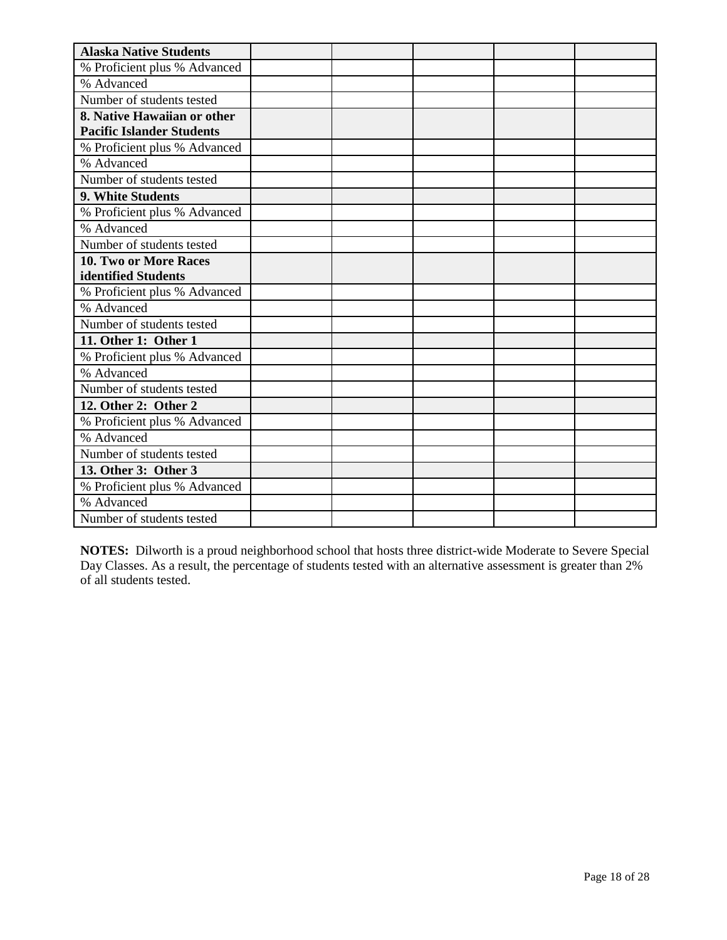| <b>Alaska Native Students</b>    |  |  |  |
|----------------------------------|--|--|--|
| % Proficient plus % Advanced     |  |  |  |
| % Advanced                       |  |  |  |
| Number of students tested        |  |  |  |
| 8. Native Hawaiian or other      |  |  |  |
| <b>Pacific Islander Students</b> |  |  |  |
| % Proficient plus % Advanced     |  |  |  |
| % Advanced                       |  |  |  |
| Number of students tested        |  |  |  |
| 9. White Students                |  |  |  |
| % Proficient plus % Advanced     |  |  |  |
| % Advanced                       |  |  |  |
| Number of students tested        |  |  |  |
| <b>10. Two or More Races</b>     |  |  |  |
| identified Students              |  |  |  |
| % Proficient plus % Advanced     |  |  |  |
| % Advanced                       |  |  |  |
| Number of students tested        |  |  |  |
| 11. Other 1: Other 1             |  |  |  |
| % Proficient plus % Advanced     |  |  |  |
| % Advanced                       |  |  |  |
| Number of students tested        |  |  |  |
| 12. Other 2: Other 2             |  |  |  |
| % Proficient plus % Advanced     |  |  |  |
| % Advanced                       |  |  |  |
| Number of students tested        |  |  |  |
| 13. Other 3: Other 3             |  |  |  |
| % Proficient plus % Advanced     |  |  |  |
| % Advanced                       |  |  |  |
| Number of students tested        |  |  |  |

**NOTES:** Dilworth is a proud neighborhood school that hosts three district-wide Moderate to Severe Special Day Classes. As a result, the percentage of students tested with an alternative assessment is greater than 2% of all students tested.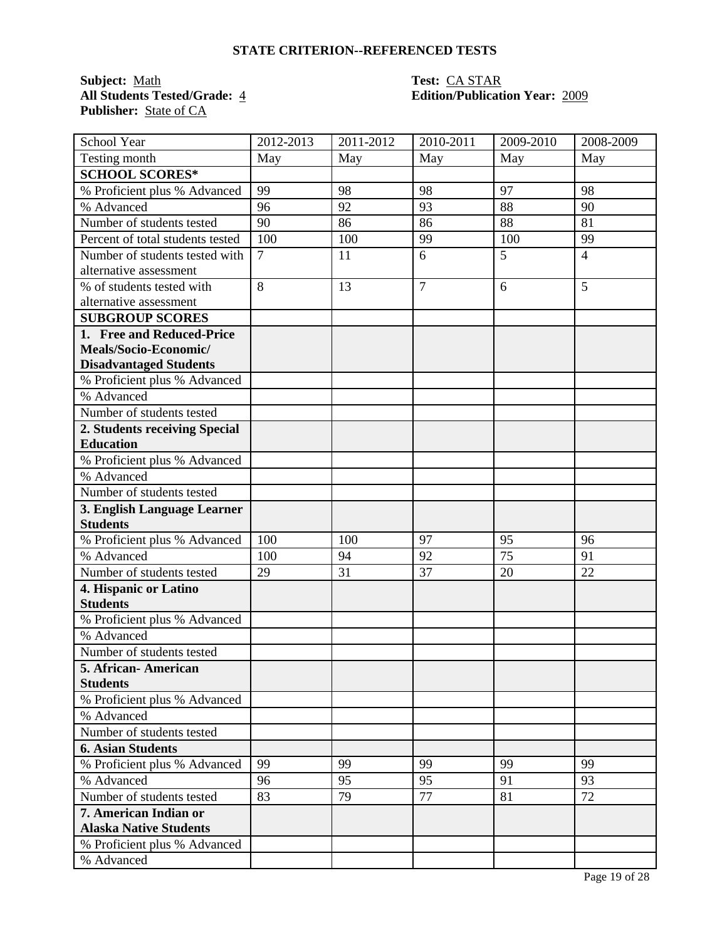**Subject:** <u>Math</u><br> **All Students Tested/Grade:** 4 **Test:** CA STAR<br> **Edition/Publication** Publisher: **State of CA** 

# **All Students Tested/Grade:** 4 **Edition/Publication Year:** 2009

| <b>School Year</b>               | 2012-2013      | 2011-2012 | 2010-2011      | 2009-2010       | 2008-2009      |
|----------------------------------|----------------|-----------|----------------|-----------------|----------------|
| Testing month                    | May            | May       | May            | May             | May            |
| <b>SCHOOL SCORES*</b>            |                |           |                |                 |                |
| % Proficient plus % Advanced     | 99             | 98        | 98             | 97              | 98             |
| % Advanced                       | 96             | 92        | 93             | 88              | 90             |
| Number of students tested        | 90             | 86        | 86             | 88              | 81             |
| Percent of total students tested | 100            | 100       | 99             | 100             | 99             |
| Number of students tested with   | $\overline{7}$ | 11        | 6              | 5               | $\overline{4}$ |
| alternative assessment           |                |           |                |                 |                |
| % of students tested with        | 8              | 13        | $\overline{7}$ | 6               | 5              |
| alternative assessment           |                |           |                |                 |                |
| <b>SUBGROUP SCORES</b>           |                |           |                |                 |                |
| 1. Free and Reduced-Price        |                |           |                |                 |                |
| Meals/Socio-Economic/            |                |           |                |                 |                |
| <b>Disadvantaged Students</b>    |                |           |                |                 |                |
| % Proficient plus % Advanced     |                |           |                |                 |                |
| % Advanced                       |                |           |                |                 |                |
| Number of students tested        |                |           |                |                 |                |
| 2. Students receiving Special    |                |           |                |                 |                |
| <b>Education</b>                 |                |           |                |                 |                |
| % Proficient plus % Advanced     |                |           |                |                 |                |
| % Advanced                       |                |           |                |                 |                |
| Number of students tested        |                |           |                |                 |                |
| 3. English Language Learner      |                |           |                |                 |                |
| <b>Students</b>                  |                |           |                |                 |                |
| % Proficient plus % Advanced     | 100            | 100       | 97             | 95              | 96             |
| % Advanced                       | 100            | 94        | 92             | $\overline{75}$ | 91             |
| Number of students tested        | 29             | 31        | 37             | 20              | 22             |
| 4. Hispanic or Latino            |                |           |                |                 |                |
| <b>Students</b>                  |                |           |                |                 |                |
| % Proficient plus % Advanced     |                |           |                |                 |                |
| % Advanced                       |                |           |                |                 |                |
| Number of students tested        |                |           |                |                 |                |
| 5. African-American              |                |           |                |                 |                |
| <b>Students</b>                  |                |           |                |                 |                |
| % Proficient plus % Advanced     |                |           |                |                 |                |
| % Advanced                       |                |           |                |                 |                |
| Number of students tested        |                |           |                |                 |                |
| <b>6. Asian Students</b>         |                |           |                |                 |                |
| % Proficient plus % Advanced     | 99             | 99        | 99             | 99              | 99             |
| % Advanced                       | 96             | 95        | 95             | 91              | 93             |
| Number of students tested        | 83             | 79        | 77             | 81              | 72             |
| 7. American Indian or            |                |           |                |                 |                |
| <b>Alaska Native Students</b>    |                |           |                |                 |                |
| % Proficient plus % Advanced     |                |           |                |                 |                |
| % Advanced                       |                |           |                |                 |                |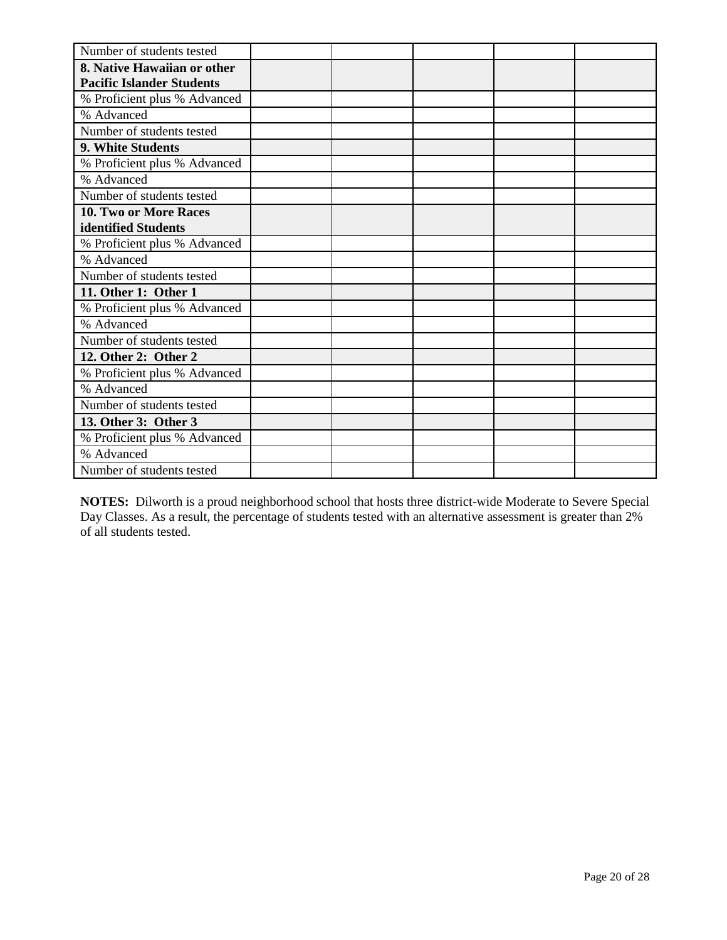| Number of students tested        |  |  |  |
|----------------------------------|--|--|--|
| 8. Native Hawaiian or other      |  |  |  |
| <b>Pacific Islander Students</b> |  |  |  |
| % Proficient plus % Advanced     |  |  |  |
| % Advanced                       |  |  |  |
| Number of students tested        |  |  |  |
| 9. White Students                |  |  |  |
| % Proficient plus % Advanced     |  |  |  |
| % Advanced                       |  |  |  |
| Number of students tested        |  |  |  |
| <b>10. Two or More Races</b>     |  |  |  |
| identified Students              |  |  |  |
| % Proficient plus % Advanced     |  |  |  |
| % Advanced                       |  |  |  |
| Number of students tested        |  |  |  |
| 11. Other 1: Other 1             |  |  |  |
| % Proficient plus % Advanced     |  |  |  |
| % Advanced                       |  |  |  |
| Number of students tested        |  |  |  |
| 12. Other 2: Other 2             |  |  |  |
| % Proficient plus % Advanced     |  |  |  |
| % Advanced                       |  |  |  |
| Number of students tested        |  |  |  |
| 13. Other 3: Other 3             |  |  |  |
| % Proficient plus % Advanced     |  |  |  |
| % Advanced                       |  |  |  |
| Number of students tested        |  |  |  |

**NOTES:** Dilworth is a proud neighborhood school that hosts three district-wide Moderate to Severe Special Day Classes. As a result, the percentage of students tested with an alternative assessment is greater than 2% of all students tested.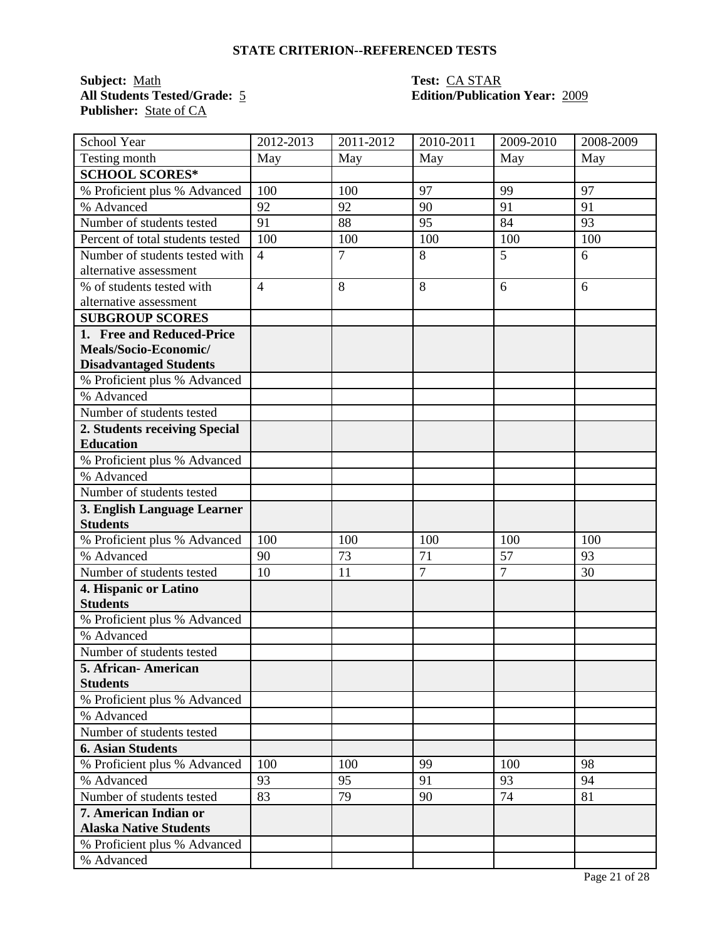**Subject:** <u>Math</u> **Test:** <u>CA STAR</u><br> **All Students Tested/Grade:** 5 **Test: CA STAR**<br> **Edition/Publicat** Publisher: **State of CA** 

# **All Students Tested/Grade:** 5 **Edition/Publication Year:** 2009

| School Year                      | 2012-2013      | 2011-2012      | 2010-2011      | 2009-2010      | 2008-2009 |
|----------------------------------|----------------|----------------|----------------|----------------|-----------|
| Testing month                    | May            | May            | May            | May            | May       |
| <b>SCHOOL SCORES*</b>            |                |                |                |                |           |
| % Proficient plus % Advanced     | 100            | 100            | 97             | 99             | 97        |
| % Advanced                       | 92             | 92             | 90             | 91             | 91        |
| Number of students tested        | 91             | 88             | 95             | 84             | 93        |
| Percent of total students tested | 100            | 100            | 100            | 100            | 100       |
| Number of students tested with   | $\overline{4}$ | $\overline{7}$ | 8              | 5              | 6         |
| alternative assessment           |                |                |                |                |           |
| % of students tested with        | $\overline{4}$ | 8              | 8              | 6              | 6         |
| alternative assessment           |                |                |                |                |           |
| <b>SUBGROUP SCORES</b>           |                |                |                |                |           |
| 1. Free and Reduced-Price        |                |                |                |                |           |
| Meals/Socio-Economic/            |                |                |                |                |           |
| <b>Disadvantaged Students</b>    |                |                |                |                |           |
| % Proficient plus % Advanced     |                |                |                |                |           |
| % Advanced                       |                |                |                |                |           |
| Number of students tested        |                |                |                |                |           |
| 2. Students receiving Special    |                |                |                |                |           |
| <b>Education</b>                 |                |                |                |                |           |
| % Proficient plus % Advanced     |                |                |                |                |           |
| % Advanced                       |                |                |                |                |           |
| Number of students tested        |                |                |                |                |           |
| 3. English Language Learner      |                |                |                |                |           |
| <b>Students</b>                  |                |                |                |                |           |
| % Proficient plus % Advanced     | 100            | 100            | 100            | 100            | 100       |
| % Advanced                       | 90             | 73             | 71             | 57             | 93        |
| Number of students tested        | 10             | 11             | $\overline{7}$ | $\overline{7}$ | 30        |
| 4. Hispanic or Latino            |                |                |                |                |           |
| <b>Students</b>                  |                |                |                |                |           |
| % Proficient plus % Advanced     |                |                |                |                |           |
| % Advanced                       |                |                |                |                |           |
| Number of students tested        |                |                |                |                |           |
| 5. African-American              |                |                |                |                |           |
| <b>Students</b>                  |                |                |                |                |           |
| % Proficient plus % Advanced     |                |                |                |                |           |
| % Advanced                       |                |                |                |                |           |
| Number of students tested        |                |                |                |                |           |
| <b>6. Asian Students</b>         |                |                |                |                |           |
| % Proficient plus % Advanced     | 100            | 100            | 99             | 100            | 98        |
| % Advanced                       | 93             | 95             | 91             | 93             | 94        |
| Number of students tested        | 83             | 79             | 90             | 74             | 81        |
| 7. American Indian or            |                |                |                |                |           |
| <b>Alaska Native Students</b>    |                |                |                |                |           |
| % Proficient plus % Advanced     |                |                |                |                |           |
| % Advanced                       |                |                |                |                |           |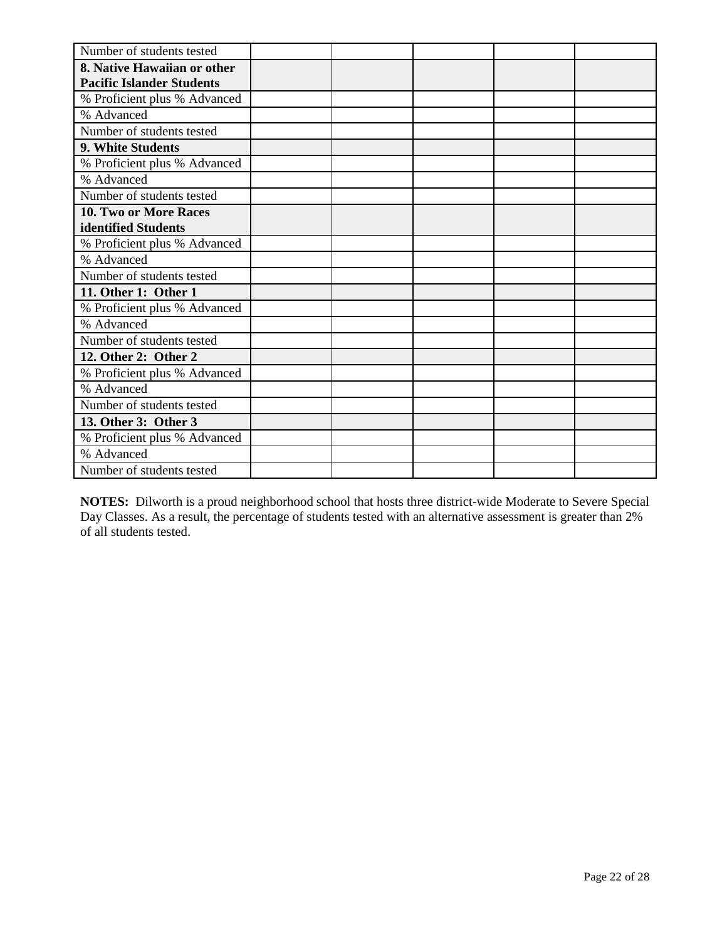| Number of students tested        |  |  |  |
|----------------------------------|--|--|--|
| 8. Native Hawaiian or other      |  |  |  |
| <b>Pacific Islander Students</b> |  |  |  |
| % Proficient plus % Advanced     |  |  |  |
| % Advanced                       |  |  |  |
| Number of students tested        |  |  |  |
| 9. White Students                |  |  |  |
| % Proficient plus % Advanced     |  |  |  |
| % Advanced                       |  |  |  |
| Number of students tested        |  |  |  |
| <b>10. Two or More Races</b>     |  |  |  |
| identified Students              |  |  |  |
| % Proficient plus % Advanced     |  |  |  |
| % Advanced                       |  |  |  |
| Number of students tested        |  |  |  |
| 11. Other 1: Other 1             |  |  |  |
| % Proficient plus % Advanced     |  |  |  |
| % Advanced                       |  |  |  |
| Number of students tested        |  |  |  |
| 12. Other 2: Other 2             |  |  |  |
| % Proficient plus % Advanced     |  |  |  |
| % Advanced                       |  |  |  |
| Number of students tested        |  |  |  |
| 13. Other 3: Other 3             |  |  |  |
| % Proficient plus % Advanced     |  |  |  |
| % Advanced                       |  |  |  |
| Number of students tested        |  |  |  |

**NOTES:** Dilworth is a proud neighborhood school that hosts three district-wide Moderate to Severe Special Day Classes. As a result, the percentage of students tested with an alternative assessment is greater than 2% of all students tested.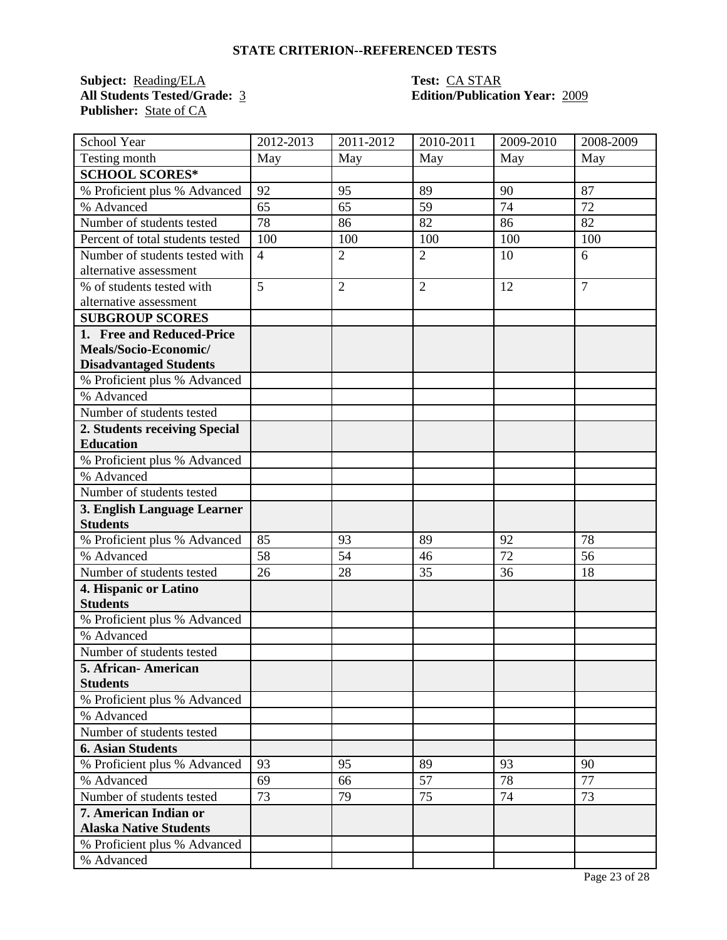**Subject:** <u>Reading/ELA</u> **Test:** CA STAR<br> **All Students Tested/Grade:** 3 **Edition/Publication** Publisher: **State of CA** 

# **All Students Tested/Grade:** 3 **Edition/Publication Year:** 2009

| School Year                      | 2012-2013      | $\overline{20}11 - 2012$ | 2010-2011      | 2009-2010       | 2008-2009      |
|----------------------------------|----------------|--------------------------|----------------|-----------------|----------------|
| Testing month                    | May            | May                      | May            | May             | May            |
| <b>SCHOOL SCORES*</b>            |                |                          |                |                 |                |
| % Proficient plus % Advanced     | 92             | 95                       | 89             | 90              | 87             |
| % Advanced                       | 65             | 65                       | 59             | 74              | 72             |
| Number of students tested        | 78             | 86                       | 82             | 86              | 82             |
| Percent of total students tested | 100            | 100                      | 100            | 100             | 100            |
| Number of students tested with   | $\overline{4}$ | $\overline{2}$           | $\overline{2}$ | 10              | 6              |
| alternative assessment           |                |                          |                |                 |                |
| % of students tested with        | 5              | $\overline{2}$           | $\overline{2}$ | 12              | $\overline{7}$ |
| alternative assessment           |                |                          |                |                 |                |
| <b>SUBGROUP SCORES</b>           |                |                          |                |                 |                |
| 1. Free and Reduced-Price        |                |                          |                |                 |                |
| Meals/Socio-Economic/            |                |                          |                |                 |                |
| <b>Disadvantaged Students</b>    |                |                          |                |                 |                |
| % Proficient plus % Advanced     |                |                          |                |                 |                |
| % Advanced                       |                |                          |                |                 |                |
| Number of students tested        |                |                          |                |                 |                |
| 2. Students receiving Special    |                |                          |                |                 |                |
| <b>Education</b>                 |                |                          |                |                 |                |
| % Proficient plus % Advanced     |                |                          |                |                 |                |
| % Advanced                       |                |                          |                |                 |                |
| Number of students tested        |                |                          |                |                 |                |
| 3. English Language Learner      |                |                          |                |                 |                |
| <b>Students</b>                  |                |                          |                |                 |                |
| % Proficient plus % Advanced     | 85             | 93                       | 89             | 92              | 78             |
| % Advanced                       | 58             | 54                       | 46             | $\overline{72}$ | 56             |
| Number of students tested        | 26             | 28                       | 35             | 36              | 18             |
| 4. Hispanic or Latino            |                |                          |                |                 |                |
| <b>Students</b>                  |                |                          |                |                 |                |
| % Proficient plus % Advanced     |                |                          |                |                 |                |
| % Advanced                       |                |                          |                |                 |                |
| Number of students tested        |                |                          |                |                 |                |
| 5. African-American              |                |                          |                |                 |                |
| <b>Students</b>                  |                |                          |                |                 |                |
| % Proficient plus % Advanced     |                |                          |                |                 |                |
| % Advanced                       |                |                          |                |                 |                |
| Number of students tested        |                |                          |                |                 |                |
| <b>6. Asian Students</b>         |                |                          |                |                 |                |
| % Proficient plus % Advanced     | 93             | 95                       | 89             | 93              | 90             |
| % Advanced                       | 69             | 66                       | 57             | 78              | 77             |
| Number of students tested        | 73             | 79                       | 75             | 74              | 73             |
| 7. American Indian or            |                |                          |                |                 |                |
| <b>Alaska Native Students</b>    |                |                          |                |                 |                |
| % Proficient plus % Advanced     |                |                          |                |                 |                |
| % Advanced                       |                |                          |                |                 |                |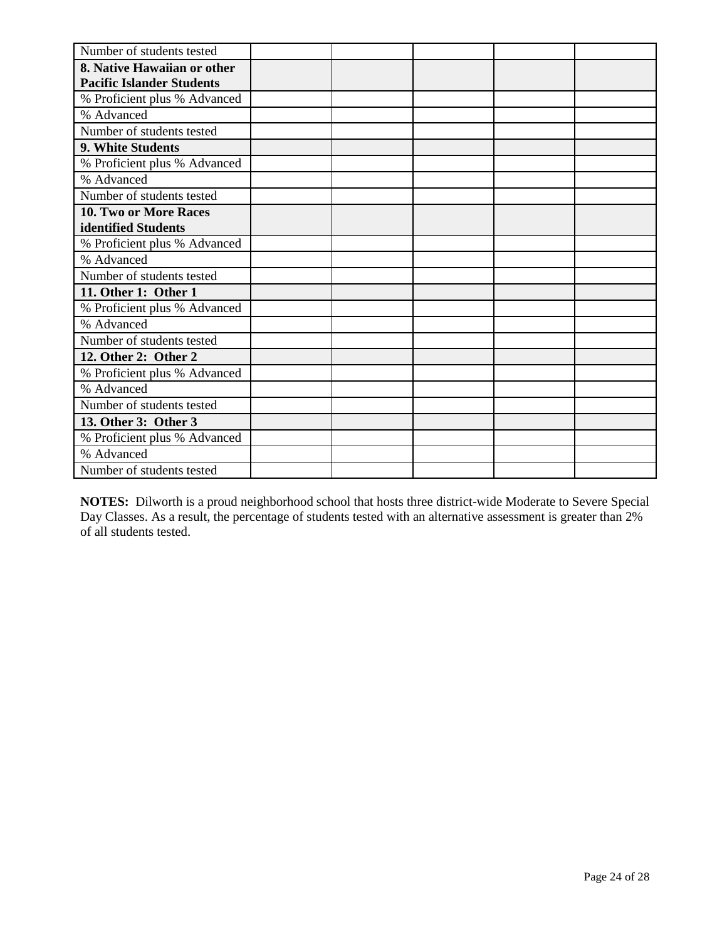| Number of students tested        |  |  |  |
|----------------------------------|--|--|--|
| 8. Native Hawaiian or other      |  |  |  |
| <b>Pacific Islander Students</b> |  |  |  |
| % Proficient plus % Advanced     |  |  |  |
| % Advanced                       |  |  |  |
| Number of students tested        |  |  |  |
| 9. White Students                |  |  |  |
| % Proficient plus % Advanced     |  |  |  |
| % Advanced                       |  |  |  |
| Number of students tested        |  |  |  |
| 10. Two or More Races            |  |  |  |
| identified Students              |  |  |  |
| % Proficient plus % Advanced     |  |  |  |
| % Advanced                       |  |  |  |
| Number of students tested        |  |  |  |
| 11. Other 1: Other 1             |  |  |  |
| % Proficient plus % Advanced     |  |  |  |
| % Advanced                       |  |  |  |
| Number of students tested        |  |  |  |
| 12. Other 2: Other 2             |  |  |  |
| % Proficient plus % Advanced     |  |  |  |
| % Advanced                       |  |  |  |
| Number of students tested        |  |  |  |
| 13. Other 3: Other 3             |  |  |  |
| % Proficient plus % Advanced     |  |  |  |
| % Advanced                       |  |  |  |
| Number of students tested        |  |  |  |

**NOTES:** Dilworth is a proud neighborhood school that hosts three district-wide Moderate to Severe Special Day Classes. As a result, the percentage of students tested with an alternative assessment is greater than 2% of all students tested.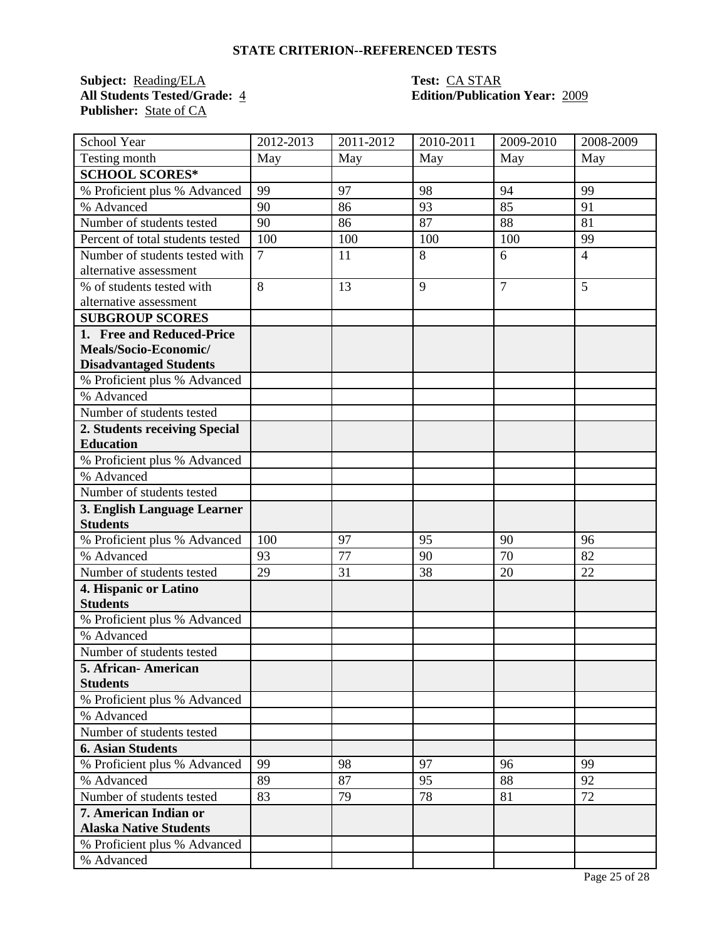**Subject:** <u>Reading/ELA</u> **Test:** CA STAR<br> **All Students Tested/Grade:** 4 **Edition/Publication** Publisher: **State of CA** 

# **All Students Tested/Grade:** 4 **Edition/Publication Year:** 2009

| School Year                      | 2012-2013      | 2011-2012 | 2010-2011 | 2009-2010      | 2008-2009      |
|----------------------------------|----------------|-----------|-----------|----------------|----------------|
| Testing month                    | May            | May       | May       | May            | May            |
| <b>SCHOOL SCORES*</b>            |                |           |           |                |                |
| % Proficient plus % Advanced     | 99             | 97        | 98        | 94             | 99             |
| % Advanced                       | 90             | 86        | 93        | 85             | 91             |
| Number of students tested        | 90             | 86        | 87        | 88             | 81             |
| Percent of total students tested | 100            | 100       | 100       | 100            | 99             |
| Number of students tested with   | $\overline{7}$ | 11        | 8         | 6              | $\overline{4}$ |
| alternative assessment           |                |           |           |                |                |
| % of students tested with        | 8              | 13        | 9         | $\overline{7}$ | 5              |
| alternative assessment           |                |           |           |                |                |
| <b>SUBGROUP SCORES</b>           |                |           |           |                |                |
| 1. Free and Reduced-Price        |                |           |           |                |                |
| Meals/Socio-Economic/            |                |           |           |                |                |
| <b>Disadvantaged Students</b>    |                |           |           |                |                |
| % Proficient plus % Advanced     |                |           |           |                |                |
| % Advanced                       |                |           |           |                |                |
| Number of students tested        |                |           |           |                |                |
| 2. Students receiving Special    |                |           |           |                |                |
| <b>Education</b>                 |                |           |           |                |                |
| % Proficient plus % Advanced     |                |           |           |                |                |
| % Advanced                       |                |           |           |                |                |
| Number of students tested        |                |           |           |                |                |
| 3. English Language Learner      |                |           |           |                |                |
| <b>Students</b>                  |                |           |           |                |                |
| % Proficient plus % Advanced     | 100            | 97        | 95        | 90             | 96             |
| % Advanced                       | 93             | 77        | 90        | 70             | 82             |
| Number of students tested        | 29             | 31        | 38        | 20             | 22             |
| 4. Hispanic or Latino            |                |           |           |                |                |
| <b>Students</b>                  |                |           |           |                |                |
| % Proficient plus % Advanced     |                |           |           |                |                |
| % Advanced                       |                |           |           |                |                |
| Number of students tested        |                |           |           |                |                |
| 5. African- American             |                |           |           |                |                |
| <b>Students</b>                  |                |           |           |                |                |
| % Proficient plus % Advanced     |                |           |           |                |                |
| % Advanced                       |                |           |           |                |                |
| Number of students tested        |                |           |           |                |                |
| <b>6. Asian Students</b>         |                |           |           |                |                |
| % Proficient plus % Advanced     | 99             | 98        | 97        | 96             | 99             |
| % Advanced                       | 89             | 87        | 95        | 88             | 92             |
| Number of students tested        | 83             | 79        | 78        | 81             | 72             |
| 7. American Indian or            |                |           |           |                |                |
| <b>Alaska Native Students</b>    |                |           |           |                |                |
| % Proficient plus % Advanced     |                |           |           |                |                |
| % Advanced                       |                |           |           |                |                |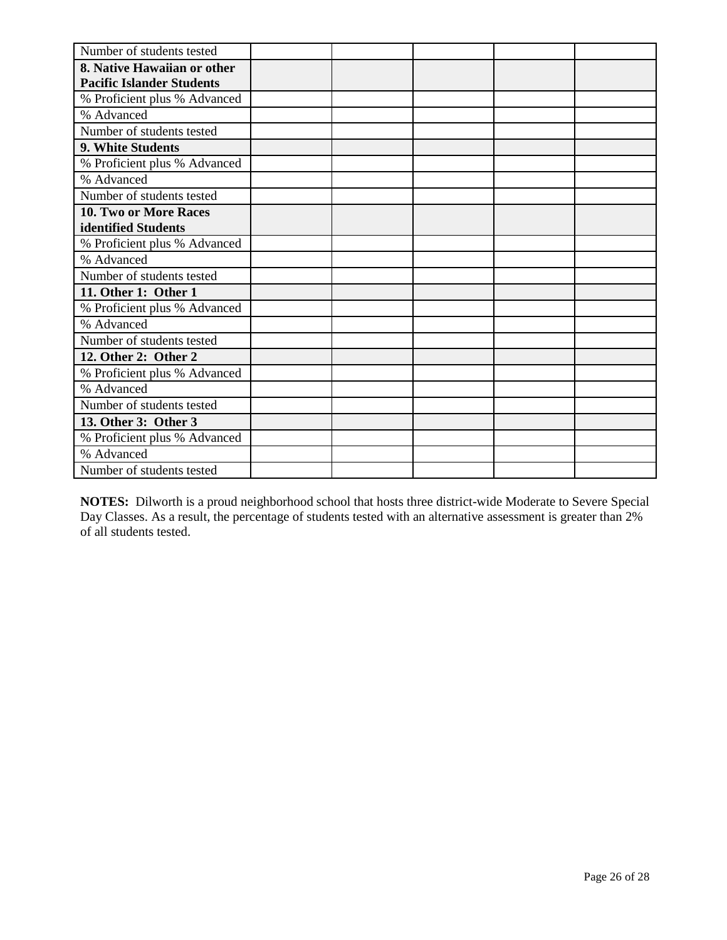| Number of students tested        |  |  |  |
|----------------------------------|--|--|--|
| 8. Native Hawaiian or other      |  |  |  |
| <b>Pacific Islander Students</b> |  |  |  |
| % Proficient plus % Advanced     |  |  |  |
| % Advanced                       |  |  |  |
| Number of students tested        |  |  |  |
| 9. White Students                |  |  |  |
| % Proficient plus % Advanced     |  |  |  |
| % Advanced                       |  |  |  |
| Number of students tested        |  |  |  |
| <b>10. Two or More Races</b>     |  |  |  |
| identified Students              |  |  |  |
| % Proficient plus % Advanced     |  |  |  |
| % Advanced                       |  |  |  |
| Number of students tested        |  |  |  |
| 11. Other 1: Other 1             |  |  |  |
| % Proficient plus % Advanced     |  |  |  |
| % Advanced                       |  |  |  |
| Number of students tested        |  |  |  |
| 12. Other 2: Other 2             |  |  |  |
| % Proficient plus % Advanced     |  |  |  |
| % Advanced                       |  |  |  |
| Number of students tested        |  |  |  |
| 13. Other 3: Other 3             |  |  |  |
| % Proficient plus % Advanced     |  |  |  |
| % Advanced                       |  |  |  |
| Number of students tested        |  |  |  |

**NOTES:** Dilworth is a proud neighborhood school that hosts three district-wide Moderate to Severe Special Day Classes. As a result, the percentage of students tested with an alternative assessment is greater than 2% of all students tested.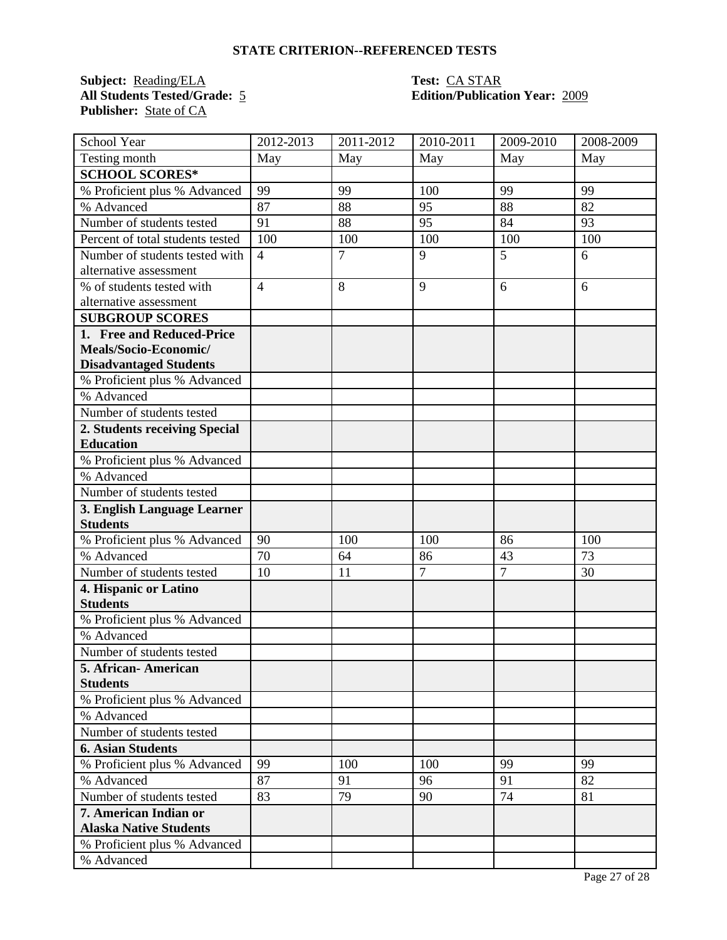**Subject:** <u>Reading/ELA</u> **Test:** CA STAR<br> **All Students Tested/Grade:** 5 **Edition/Publicat:** Publisher: **State of CA** 

# **All Students Tested/Grade:** 5 **Edition/Publication Year:** 2009

| School Year                      | 2012-2013      | 2011-2012      | 2010-2011      | 2009-2010      | 2008-2009 |
|----------------------------------|----------------|----------------|----------------|----------------|-----------|
| Testing month                    | May            | May            | May            | May            | May       |
| <b>SCHOOL SCORES*</b>            |                |                |                |                |           |
| % Proficient plus % Advanced     | 99             | 99             | 100            | 99             | 99        |
| % Advanced                       | 87             | 88             | 95             | 88             | 82        |
| Number of students tested        | 91             | 88             | 95             | 84             | 93        |
| Percent of total students tested | 100            | 100            | 100            | 100            | 100       |
| Number of students tested with   | $\overline{4}$ | $\overline{7}$ | 9              | 5              | 6         |
| alternative assessment           |                |                |                |                |           |
| % of students tested with        | $\overline{4}$ | 8              | 9              | 6              | 6         |
| alternative assessment           |                |                |                |                |           |
| <b>SUBGROUP SCORES</b>           |                |                |                |                |           |
| 1. Free and Reduced-Price        |                |                |                |                |           |
| Meals/Socio-Economic/            |                |                |                |                |           |
| <b>Disadvantaged Students</b>    |                |                |                |                |           |
| % Proficient plus % Advanced     |                |                |                |                |           |
| % Advanced                       |                |                |                |                |           |
| Number of students tested        |                |                |                |                |           |
| 2. Students receiving Special    |                |                |                |                |           |
| <b>Education</b>                 |                |                |                |                |           |
| % Proficient plus % Advanced     |                |                |                |                |           |
| % Advanced                       |                |                |                |                |           |
| Number of students tested        |                |                |                |                |           |
| 3. English Language Learner      |                |                |                |                |           |
| <b>Students</b>                  |                |                |                |                |           |
| % Proficient plus % Advanced     | 90             | 100            | 100            | 86             | 100       |
| % Advanced                       | 70             | 64             | 86             | 43             | 73        |
| Number of students tested        | 10             | 11             | $\overline{7}$ | $\overline{7}$ | 30        |
| 4. Hispanic or Latino            |                |                |                |                |           |
| <b>Students</b>                  |                |                |                |                |           |
| % Proficient plus % Advanced     |                |                |                |                |           |
| % Advanced                       |                |                |                |                |           |
| Number of students tested        |                |                |                |                |           |
| 5. African-American              |                |                |                |                |           |
| <b>Students</b>                  |                |                |                |                |           |
| % Proficient plus % Advanced     |                |                |                |                |           |
| % Advanced                       |                |                |                |                |           |
| Number of students tested        |                |                |                |                |           |
| <b>6. Asian Students</b>         |                |                |                |                |           |
| % Proficient plus % Advanced     | 99             | 100            | 100            | 99             | 99        |
| % Advanced                       | 87             | 91             | 96             | 91             | 82        |
| Number of students tested        | 83             | 79             | 90             | 74             | 81        |
| 7. American Indian or            |                |                |                |                |           |
| <b>Alaska Native Students</b>    |                |                |                |                |           |
| % Proficient plus % Advanced     |                |                |                |                |           |
| % Advanced                       |                |                |                |                |           |